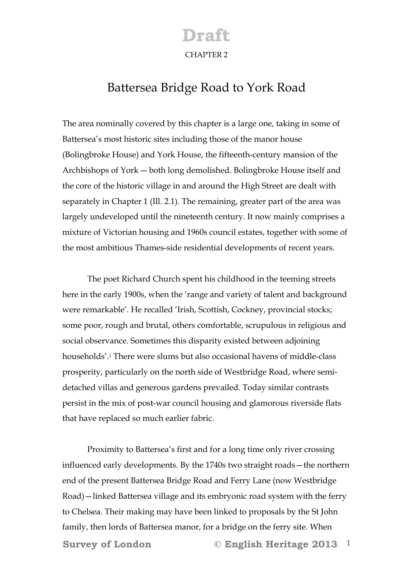#### **Draft**  CHAPTER 2

#### Battersea Bridge Road to York Road

The area nominally covered by this chapter is a large one, taking in some of Battersea's most historic sites including those of the manor house (Bolingbroke House) and York House, the fifteenth-century mansion of the Archbishops of York ― both long demolished. Bolingbroke House itself and the core of the historic village in and around the High Street are dealt with separately in Chapter 1 (Ill. 2.1). The remaining, greater part of the area was largely undeveloped until the nineteenth century. It now mainly comprises a mixture of Victorian housing and 1960s council estates, together with some of the most ambitious Thames-side residential developments of recent years.

 The poet Richard Church spent his childhood in the teeming streets here in the early 1900s, when the 'range and variety of talent and background were remarkable'. He recalled 'Irish, Scottish, Cockney, provincial stocks; some poor, rough and brutal, others comfortable, scrupulous in religious and social observance. Sometimes this disparity existed between adjoining households'.1 There were slums but also occasional havens of middle-class prosperity, particularly on the north side of Westbridge Road, where semidetached villas and generous gardens prevailed. Today similar contrasts persist in the mix of post-war council housing and glamorous riverside flats that have replaced so much earlier fabric.

**Survey of London © English Heritage 2013** 1 Proximity to Battersea's first and for a long time only river crossing influenced early developments. By the 1740s two straight roads—the northern end of the present Battersea Bridge Road and Ferry Lane (now Westbridge Road)—linked Battersea village and its embryonic road system with the ferry to Chelsea. Their making may have been linked to proposals by the St John family, then lords of Battersea manor, for a bridge on the ferry site. When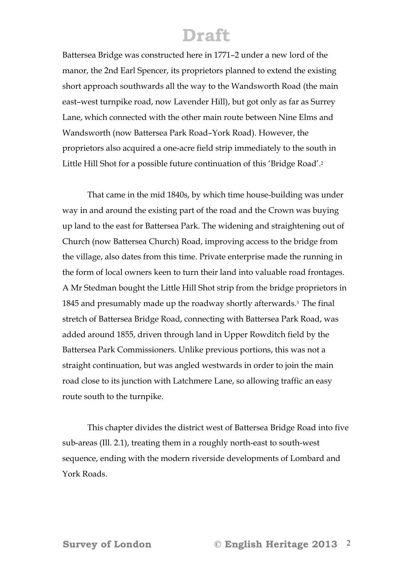Battersea Bridge was constructed here in 1771–2 under a new lord of the manor, the 2nd Earl Spencer, its proprietors planned to extend the existing short approach southwards all the way to the Wandsworth Road (the main east–west turnpike road, now Lavender Hill), but got only as far as Surrey Lane, which connected with the other main route between Nine Elms and Wandsworth (now Battersea Park Road–York Road). However, the proprietors also acquired a one-acre field strip immediately to the south in Little Hill Shot for a possible future continuation of this 'Bridge Road'.2

That came in the mid 1840s, by which time house-building was under way in and around the existing part of the road and the Crown was buying up land to the east for Battersea Park. The widening and straightening out of Church (now Battersea Church) Road, improving access to the bridge from the village, also dates from this time. Private enterprise made the running in the form of local owners keen to turn their land into valuable road frontages. A Mr Stedman bought the Little Hill Shot strip from the bridge proprietors in 1845 and presumably made up the roadway shortly afterwards.3 The final stretch of Battersea Bridge Road, connecting with Battersea Park Road, was added around 1855, driven through land in Upper Rowditch field by the Battersea Park Commissioners. Unlike previous portions, this was not a straight continuation, but was angled westwards in order to join the main road close to its junction with Latchmere Lane, so allowing traffic an easy route south to the turnpike.

 This chapter divides the district west of Battersea Bridge Road into five sub-areas (Ill. 2.1), treating them in a roughly north-east to south-west sequence, ending with the modern riverside developments of Lombard and York Roads.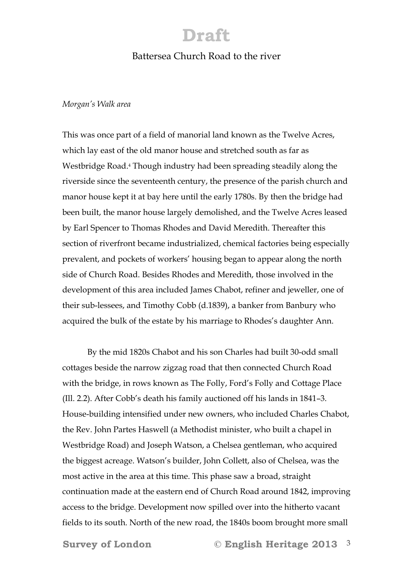#### Battersea Church Road to the river

#### *Morgan's Walk area*

This was once part of a field of manorial land known as the Twelve Acres, which lay east of the old manor house and stretched south as far as Westbridge Road.4 Though industry had been spreading steadily along the riverside since the seventeenth century, the presence of the parish church and manor house kept it at bay here until the early 1780s. By then the bridge had been built, the manor house largely demolished, and the Twelve Acres leased by Earl Spencer to Thomas Rhodes and David Meredith. Thereafter this section of riverfront became industrialized, chemical factories being especially prevalent, and pockets of workers' housing began to appear along the north side of Church Road. Besides Rhodes and Meredith, those involved in the development of this area included James Chabot, refiner and jeweller, one of their sub-lessees, and Timothy Cobb (d.1839), a banker from Banbury who acquired the bulk of the estate by his marriage to Rhodes's daughter Ann.

By the mid 1820s Chabot and his son Charles had built 30-odd small cottages beside the narrow zigzag road that then connected Church Road with the bridge, in rows known as The Folly, Ford's Folly and Cottage Place (Ill. 2.2). After Cobb's death his family auctioned off his lands in 1841–3. House-building intensified under new owners, who included Charles Chabot, the Rev. John Partes Haswell (a Methodist minister, who built a chapel in Westbridge Road) and Joseph Watson, a Chelsea gentleman, who acquired the biggest acreage. Watson's builder, John Collett, also of Chelsea, was the most active in the area at this time. This phase saw a broad, straight continuation made at the eastern end of Church Road around 1842, improving access to the bridge. Development now spilled over into the hitherto vacant fields to its south. North of the new road, the 1840s boom brought more small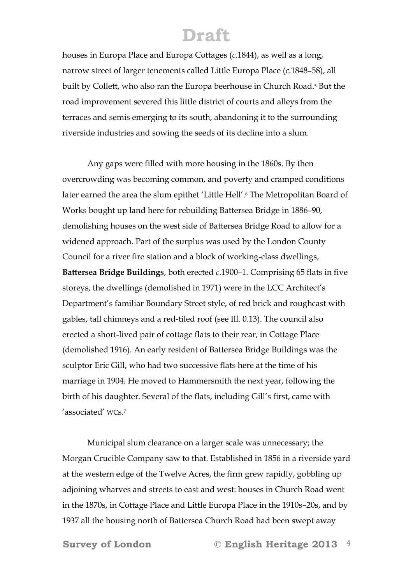houses in Europa Place and Europa Cottages (*c*.1844), as well as a long, narrow street of larger tenements called Little Europa Place (*c*.1848–58), all built by Collett, who also ran the Europa beerhouse in Church Road.5 But the road improvement severed this little district of courts and alleys from the terraces and semis emerging to its south, abandoning it to the surrounding riverside industries and sowing the seeds of its decline into a slum.

Any gaps were filled with more housing in the 1860s. By then overcrowding was becoming common, and poverty and cramped conditions later earned the area the slum epithet 'Little Hell'.<sup>6</sup> The Metropolitan Board of Works bought up land here for rebuilding Battersea Bridge in 1886–90, demolishing houses on the west side of Battersea Bridge Road to allow for a widened approach. Part of the surplus was used by the London County Council for a river fire station and a block of working-class dwellings, **Battersea Bridge Buildings**, both erected *c*.1900–1. Comprising 65 flats in five storeys, the dwellings (demolished in 1971) were in the LCC Architect's Department's familiar Boundary Street style, of red brick and roughcast with gables, tall chimneys and a red-tiled roof (see Ill. 0.13). The council also erected a short-lived pair of cottage flats to their rear, in Cottage Place (demolished 1916). An early resident of Battersea Bridge Buildings was the sculptor Eric Gill, who had two successive flats here at the time of his marriage in 1904. He moved to Hammersmith the next year, following the birth of his daughter. Several of the flats, including Gill's first, came with 'associated' WCs.7

Municipal slum clearance on a larger scale was unnecessary; the Morgan Crucible Company saw to that. Established in 1856 in a riverside yard at the western edge of the Twelve Acres, the firm grew rapidly, gobbling up adjoining wharves and streets to east and west: houses in Church Road went in the 1870s, in Cottage Place and Little Europa Place in the 1910s–20s, and by 1937 all the housing north of Battersea Church Road had been swept away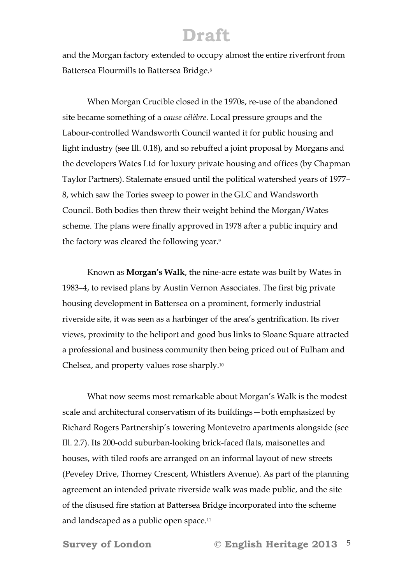and the Morgan factory extended to occupy almost the entire riverfront from Battersea Flourmills to Battersea Bridge.8

When Morgan Crucible closed in the 1970s, re-use of the abandoned site became something of a *cause célèbre*. Local pressure groups and the Labour-controlled Wandsworth Council wanted it for public housing and light industry (see Ill. 0.18), and so rebuffed a joint proposal by Morgans and the developers Wates Ltd for luxury private housing and offices (by Chapman Taylor Partners). Stalemate ensued until the political watershed years of 1977– 8, which saw the Tories sweep to power in the GLC and Wandsworth Council. Both bodies then threw their weight behind the Morgan/Wates scheme. The plans were finally approved in 1978 after a public inquiry and the factory was cleared the following year.9

Known as **Morgan's Walk**, the nine-acre estate was built by Wates in 1983–4, to revised plans by Austin Vernon Associates. The first big private housing development in Battersea on a prominent, formerly industrial riverside site, it was seen as a harbinger of the area's gentrification. Its river views, proximity to the heliport and good bus links to Sloane Square attracted a professional and business community then being priced out of Fulham and Chelsea, and property values rose sharply.10

What now seems most remarkable about Morgan's Walk is the modest scale and architectural conservatism of its buildings—both emphasized by Richard Rogers Partnership's towering Montevetro apartments alongside (see Ill. 2.7). Its 200-odd suburban-looking brick-faced flats, maisonettes and houses, with tiled roofs are arranged on an informal layout of new streets (Peveley Drive, Thorney Crescent, Whistlers Avenue). As part of the planning agreement an intended private riverside walk was made public, and the site of the disused fire station at Battersea Bridge incorporated into the scheme and landscaped as a public open space.11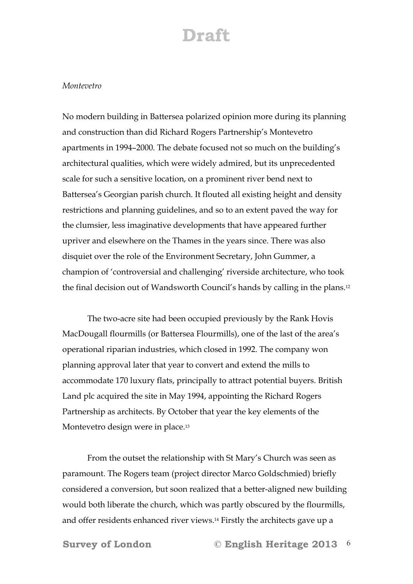#### *Montevetro*

No modern building in Battersea polarized opinion more during its planning and construction than did Richard Rogers Partnership's Montevetro apartments in 1994–2000. The debate focused not so much on the building's architectural qualities, which were widely admired, but its unprecedented scale for such a sensitive location, on a prominent river bend next to Battersea's Georgian parish church. It flouted all existing height and density restrictions and planning guidelines, and so to an extent paved the way for the clumsier, less imaginative developments that have appeared further upriver and elsewhere on the Thames in the years since. There was also disquiet over the role of the Environment Secretary, John Gummer, a champion of 'controversial and challenging' riverside architecture, who took the final decision out of Wandsworth Council's hands by calling in the plans.12

 The two-acre site had been occupied previously by the Rank Hovis MacDougall flourmills (or Battersea Flourmills), one of the last of the area's operational riparian industries, which closed in 1992. The company won planning approval later that year to convert and extend the mills to accommodate 170 luxury flats, principally to attract potential buyers. British Land plc acquired the site in May 1994, appointing the Richard Rogers Partnership as architects. By October that year the key elements of the Montevetro design were in place.13

 From the outset the relationship with St Mary's Church was seen as paramount. The Rogers team (project director Marco Goldschmied) briefly considered a conversion, but soon realized that a better-aligned new building would both liberate the church, which was partly obscured by the flourmills, and offer residents enhanced river views.14 Firstly the architects gave up a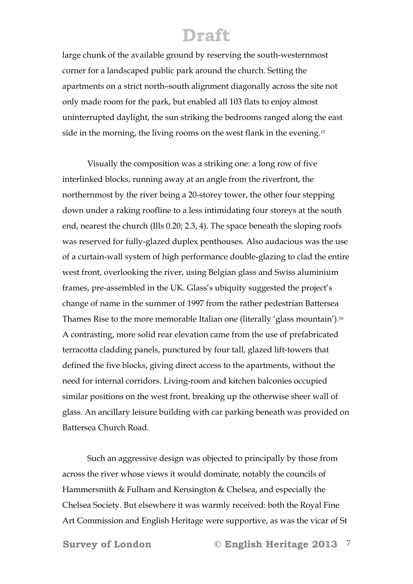large chunk of the available ground by reserving the south-westernmost corner for a landscaped public park around the church. Setting the apartments on a strict north–south alignment diagonally across the site not only made room for the park, but enabled all 103 flats to enjoy almost uninterrupted daylight, the sun striking the bedrooms ranged along the east side in the morning, the living rooms on the west flank in the evening.15

 Visually the composition was a striking one: a long row of five interlinked blocks, running away at an angle from the riverfront, the northernmost by the river being a 20-storey tower, the other four stepping down under a raking roofline to a less intimidating four storeys at the south end, nearest the church (Ills 0.20; 2.3, 4). The space beneath the sloping roofs was reserved for fully-glazed duplex penthouses. Also audacious was the use of a curtain-wall system of high performance double-glazing to clad the entire west front, overlooking the river, using Belgian glass and Swiss aluminium frames, pre-assembled in the UK. Glass's ubiquity suggested the project's change of name in the summer of 1997 from the rather pedestrian Battersea Thames Rise to the more memorable Italian one (literally 'glass mountain').16 A contrasting, more solid rear elevation came from the use of prefabricated terracotta cladding panels, punctured by four tall, glazed lift-towers that defined the five blocks, giving direct access to the apartments, without the need for internal corridors. Living-room and kitchen balconies occupied similar positions on the west front, breaking up the otherwise sheer wall of glass. An ancillary leisure building with car parking beneath was provided on Battersea Church Road.

 Such an aggressive design was objected to principally by those from across the river whose views it would dominate, notably the councils of Hammersmith & Fulham and Kensington & Chelsea, and especially the Chelsea Society. But elsewhere it was warmly received: both the Royal Fine Art Commission and English Heritage were supportive, as was the vicar of St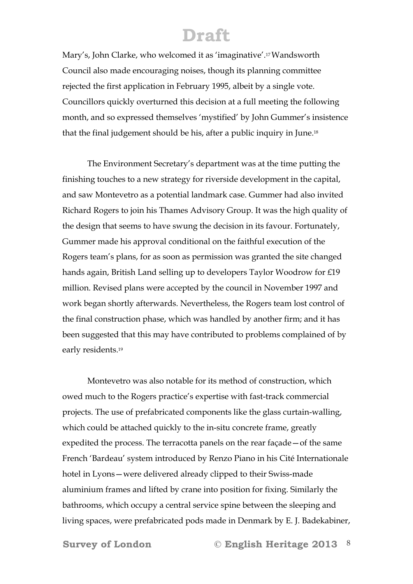Mary's, John Clarke, who welcomed it as 'imaginative'.17 Wandsworth Council also made encouraging noises, though its planning committee rejected the first application in February 1995, albeit by a single vote. Councillors quickly overturned this decision at a full meeting the following month, and so expressed themselves 'mystified' by John Gummer's insistence that the final judgement should be his, after a public inquiry in June.18

 The Environment Secretary's department was at the time putting the finishing touches to a new strategy for riverside development in the capital, and saw Montevetro as a potential landmark case. Gummer had also invited Richard Rogers to join his Thames Advisory Group. It was the high quality of the design that seems to have swung the decision in its favour. Fortunately, Gummer made his approval conditional on the faithful execution of the Rogers team's plans, for as soon as permission was granted the site changed hands again, British Land selling up to developers Taylor Woodrow for £19 million. Revised plans were accepted by the council in November 1997 and work began shortly afterwards. Nevertheless, the Rogers team lost control of the final construction phase, which was handled by another firm; and it has been suggested that this may have contributed to problems complained of by early residents.19

 Montevetro was also notable for its method of construction, which owed much to the Rogers practice's expertise with fast-track commercial projects. The use of prefabricated components like the glass curtain-walling, which could be attached quickly to the in-situ concrete frame, greatly expedited the process. The terracotta panels on the rear façade—of the same French 'Bardeau' system introduced by Renzo Piano in his Cité Internationale hotel in Lyons—were delivered already clipped to their Swiss-made aluminium frames and lifted by crane into position for fixing. Similarly the bathrooms, which occupy a central service spine between the sleeping and living spaces, were prefabricated pods made in Denmark by E. J. Badekabiner,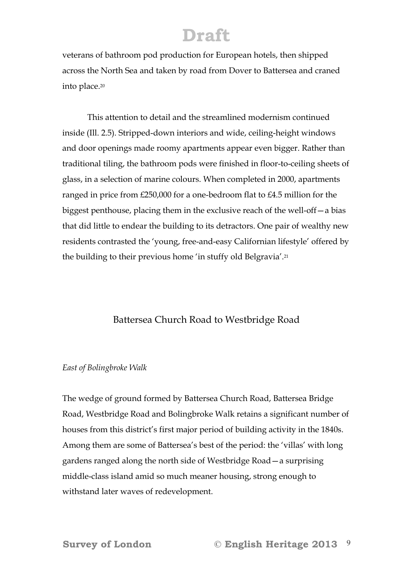veterans of bathroom pod production for European hotels, then shipped across the North Sea and taken by road from Dover to Battersea and craned into place.20

 This attention to detail and the streamlined modernism continued inside (Ill. 2.5). Stripped-down interiors and wide, ceiling-height windows and door openings made roomy apartments appear even bigger. Rather than traditional tiling, the bathroom pods were finished in floor-to-ceiling sheets of glass, in a selection of marine colours. When completed in 2000, apartments ranged in price from £250,000 for a one-bedroom flat to £4.5 million for the biggest penthouse, placing them in the exclusive reach of the well-off—a bias that did little to endear the building to its detractors. One pair of wealthy new residents contrasted the 'young, free-and-easy Californian lifestyle' offered by the building to their previous home 'in stuffy old Belgravia'.21

#### Battersea Church Road to Westbridge Road

#### *East of Bolingbroke Walk*

The wedge of ground formed by Battersea Church Road, Battersea Bridge Road, Westbridge Road and Bolingbroke Walk retains a significant number of houses from this district's first major period of building activity in the 1840s. Among them are some of Battersea's best of the period: the 'villas' with long gardens ranged along the north side of Westbridge Road—a surprising middle-class island amid so much meaner housing, strong enough to withstand later waves of redevelopment.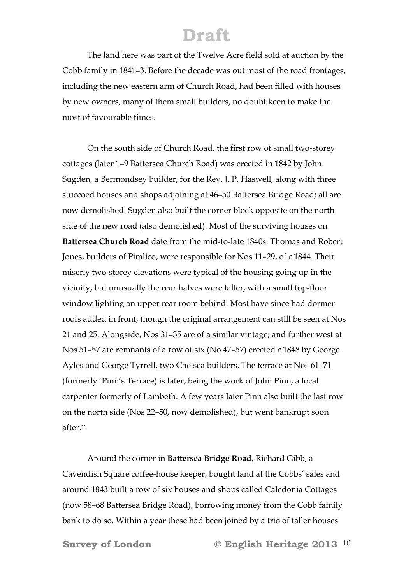The land here was part of the Twelve Acre field sold at auction by the Cobb family in 1841–3. Before the decade was out most of the road frontages, including the new eastern arm of Church Road, had been filled with houses by new owners, many of them small builders, no doubt keen to make the most of favourable times.

 On the south side of Church Road, the first row of small two-storey cottages (later 1–9 Battersea Church Road) was erected in 1842 by John Sugden, a Bermondsey builder, for the Rev. J. P. Haswell, along with three stuccoed houses and shops adjoining at 46–50 Battersea Bridge Road; all are now demolished. Sugden also built the corner block opposite on the north side of the new road (also demolished). Most of the surviving houses on **Battersea Church Road** date from the mid-to-late 1840s. Thomas and Robert Jones, builders of Pimlico, were responsible for Nos 11–29, of *c*.1844. Their miserly two-storey elevations were typical of the housing going up in the vicinity, but unusually the rear halves were taller, with a small top-floor window lighting an upper rear room behind. Most have since had dormer roofs added in front, though the original arrangement can still be seen at Nos 21 and 25. Alongside, Nos 31–35 are of a similar vintage; and further west at Nos 51–57 are remnants of a row of six (No 47–57) erected *c*.1848 by George Ayles and George Tyrrell, two Chelsea builders. The terrace at Nos 61–71 (formerly 'Pinn's Terrace) is later, being the work of John Pinn, a local carpenter formerly of Lambeth. A few years later Pinn also built the last row on the north side (Nos 22–50, now demolished), but went bankrupt soon after<sup>22</sup>

 Around the corner in **Battersea Bridge Road**, Richard Gibb, a Cavendish Square coffee-house keeper, bought land at the Cobbs' sales and around 1843 built a row of six houses and shops called Caledonia Cottages (now 58–68 Battersea Bridge Road), borrowing money from the Cobb family bank to do so. Within a year these had been joined by a trio of taller houses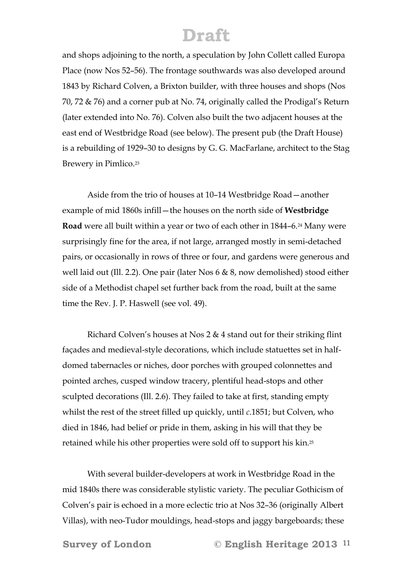and shops adjoining to the north, a speculation by John Collett called Europa Place (now Nos 52–56). The frontage southwards was also developed around 1843 by Richard Colven, a Brixton builder, with three houses and shops (Nos 70, 72 & 76) and a corner pub at No. 74, originally called the Prodigal's Return (later extended into No. 76). Colven also built the two adjacent houses at the east end of Westbridge Road (see below). The present pub (the Draft House) is a rebuilding of 1929–30 to designs by G. G. MacFarlane, architect to the Stag Brewery in Pimlico.<sup>23</sup>

 Aside from the trio of houses at 10–14 Westbridge Road—another example of mid 1860s infill—the houses on the north side of **Westbridge Road** were all built within a year or two of each other in 1844–6.<sup>24</sup> Many were surprisingly fine for the area, if not large, arranged mostly in semi-detached pairs, or occasionally in rows of three or four, and gardens were generous and well laid out (Ill. 2.2). One pair (later Nos 6 & 8, now demolished) stood either side of a Methodist chapel set further back from the road, built at the same time the Rev. J. P. Haswell (see vol. 49).

 Richard Colven's houses at Nos 2 & 4 stand out for their striking flint façades and medieval-style decorations, which include statuettes set in halfdomed tabernacles or niches, door porches with grouped colonnettes and pointed arches, cusped window tracery, plentiful head-stops and other sculpted decorations (Ill. 2.6). They failed to take at first, standing empty whilst the rest of the street filled up quickly, until *c*.1851; but Colven, who died in 1846, had belief or pride in them, asking in his will that they be retained while his other properties were sold off to support his kin.25

 With several builder-developers at work in Westbridge Road in the mid 1840s there was considerable stylistic variety. The peculiar Gothicism of Colven's pair is echoed in a more eclectic trio at Nos 32–36 (originally Albert Villas), with neo-Tudor mouldings, head-stops and jaggy bargeboards; these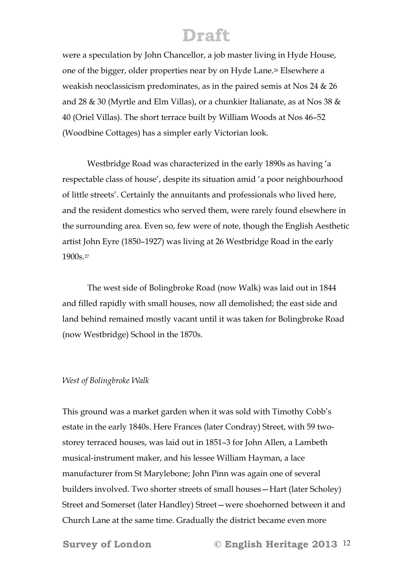were a speculation by John Chancellor, a job master living in Hyde House, one of the bigger, older properties near by on Hyde Lane.26 Elsewhere a weakish neoclassicism predominates, as in the paired semis at Nos 24 & 26 and 28 & 30 (Myrtle and Elm Villas), or a chunkier Italianate, as at Nos 38 & 40 (Oriel Villas). The short terrace built by William Woods at Nos 46–52 (Woodbine Cottages) has a simpler early Victorian look.

 Westbridge Road was characterized in the early 1890s as having 'a respectable class of house', despite its situation amid 'a poor neighbourhood of little streets'. Certainly the annuitants and professionals who lived here, and the resident domestics who served them, were rarely found elsewhere in the surrounding area. Even so, few were of note, though the English Aesthetic artist John Eyre (1850–1927) was living at 26 Westbridge Road in the early 1900s.27

 The west side of Bolingbroke Road (now Walk) was laid out in 1844 and filled rapidly with small houses, now all demolished; the east side and land behind remained mostly vacant until it was taken for Bolingbroke Road (now Westbridge) School in the 1870s.

#### *West of Bolingbroke Walk*

This ground was a market garden when it was sold with Timothy Cobb's estate in the early 1840s. Here Frances (later Condray) Street, with 59 twostorey terraced houses, was laid out in 1851–3 for John Allen, a Lambeth musical-instrument maker, and his lessee William Hayman, a lace manufacturer from St Marylebone; John Pinn was again one of several builders involved. Two shorter streets of small houses—Hart (later Scholey) Street and Somerset (later Handley) Street—were shoehorned between it and Church Lane at the same time. Gradually the district became even more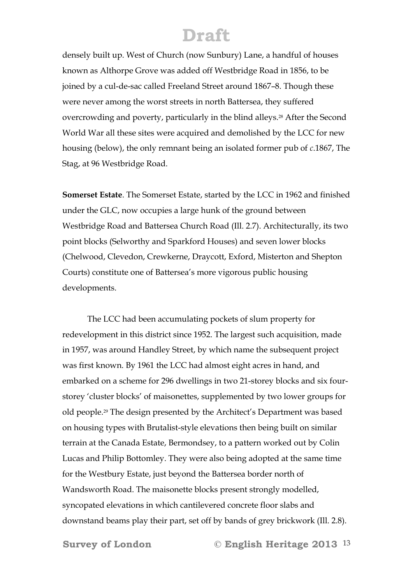densely built up. West of Church (now Sunbury) Lane, a handful of houses known as Althorpe Grove was added off Westbridge Road in 1856, to be joined by a cul-de-sac called Freeland Street around 1867–8. Though these were never among the worst streets in north Battersea, they suffered overcrowding and poverty, particularly in the blind alleys.28 After the Second World War all these sites were acquired and demolished by the LCC for new housing (below), the only remnant being an isolated former pub of *c*.1867, The Stag, at 96 Westbridge Road.

**Somerset Estate**. The Somerset Estate, started by the LCC in 1962 and finished under the GLC, now occupies a large hunk of the ground between Westbridge Road and Battersea Church Road (Ill. 2.7). Architecturally, its two point blocks (Selworthy and Sparkford Houses) and seven lower blocks (Chelwood, Clevedon, Crewkerne, Draycott, Exford, Misterton and Shepton Courts) constitute one of Battersea's more vigorous public housing developments.

The LCC had been accumulating pockets of slum property for redevelopment in this district since 1952. The largest such acquisition, made in 1957, was around Handley Street, by which name the subsequent project was first known. By 1961 the LCC had almost eight acres in hand, and embarked on a scheme for 296 dwellings in two 21-storey blocks and six fourstorey 'cluster blocks' of maisonettes, supplemented by two lower groups for old people.29 The design presented by the Architect's Department was based on housing types with Brutalist-style elevations then being built on similar terrain at the Canada Estate, Bermondsey, to a pattern worked out by Colin Lucas and Philip Bottomley. They were also being adopted at the same time for the Westbury Estate, just beyond the Battersea border north of Wandsworth Road. The maisonette blocks present strongly modelled, syncopated elevations in which cantilevered concrete floor slabs and downstand beams play their part, set off by bands of grey brickwork (Ill. 2.8).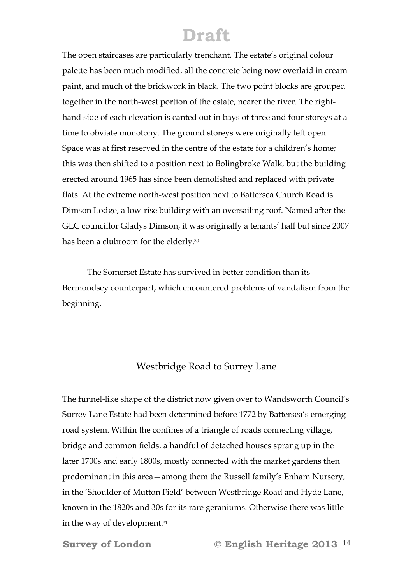The open staircases are particularly trenchant. The estate's original colour palette has been much modified, all the concrete being now overlaid in cream paint, and much of the brickwork in black. The two point blocks are grouped together in the north-west portion of the estate, nearer the river. The righthand side of each elevation is canted out in bays of three and four storeys at a time to obviate monotony. The ground storeys were originally left open. Space was at first reserved in the centre of the estate for a children's home; this was then shifted to a position next to Bolingbroke Walk, but the building erected around 1965 has since been demolished and replaced with private flats. At the extreme north-west position next to Battersea Church Road is Dimson Lodge, a low-rise building with an oversailing roof. Named after the GLC councillor Gladys Dimson, it was originally a tenants' hall but since 2007 has been a clubroom for the elderly.30

The Somerset Estate has survived in better condition than its Bermondsey counterpart, which encountered problems of vandalism from the beginning.

#### Westbridge Road to Surrey Lane

The funnel-like shape of the district now given over to Wandsworth Council's Surrey Lane Estate had been determined before 1772 by Battersea's emerging road system. Within the confines of a triangle of roads connecting village, bridge and common fields, a handful of detached houses sprang up in the later 1700s and early 1800s, mostly connected with the market gardens then predominant in this area—among them the Russell family's Enham Nursery, in the 'Shoulder of Mutton Field' between Westbridge Road and Hyde Lane, known in the 1820s and 30s for its rare geraniums. Otherwise there was little in the way of development.<sup>31</sup>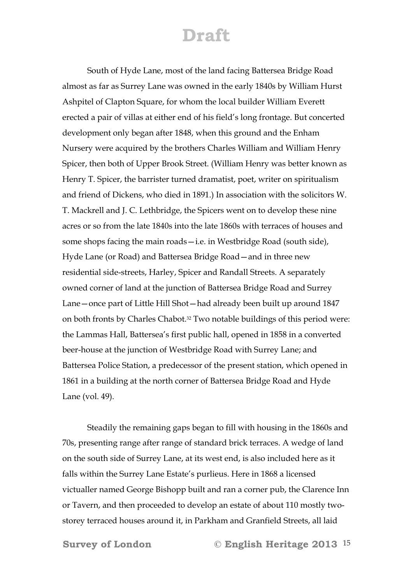South of Hyde Lane, most of the land facing Battersea Bridge Road almost as far as Surrey Lane was owned in the early 1840s by William Hurst Ashpitel of Clapton Square, for whom the local builder William Everett erected a pair of villas at either end of his field's long frontage. But concerted development only began after 1848, when this ground and the Enham Nursery were acquired by the brothers Charles William and William Henry Spicer, then both of Upper Brook Street. (William Henry was better known as Henry T. Spicer, the barrister turned dramatist, poet, writer on spiritualism and friend of Dickens, who died in 1891.) In association with the solicitors W. T. Mackrell and J. C. Lethbridge, the Spicers went on to develop these nine acres or so from the late 1840s into the late 1860s with terraces of houses and some shops facing the main roads—i.e. in Westbridge Road (south side), Hyde Lane (or Road) and Battersea Bridge Road—and in three new residential side-streets, Harley, Spicer and Randall Streets. A separately owned corner of land at the junction of Battersea Bridge Road and Surrey Lane—once part of Little Hill Shot—had already been built up around 1847 on both fronts by Charles Chabot.32 Two notable buildings of this period were: the Lammas Hall, Battersea's first public hall, opened in 1858 in a converted beer-house at the junction of Westbridge Road with Surrey Lane; and Battersea Police Station, a predecessor of the present station, which opened in 1861 in a building at the north corner of Battersea Bridge Road and Hyde Lane (vol. 49).

 Steadily the remaining gaps began to fill with housing in the 1860s and 70s, presenting range after range of standard brick terraces. A wedge of land on the south side of Surrey Lane, at its west end, is also included here as it falls within the Surrey Lane Estate's purlieus. Here in 1868 a licensed victualler named George Bishopp built and ran a corner pub, the Clarence Inn or Tavern, and then proceeded to develop an estate of about 110 mostly twostorey terraced houses around it, in Parkham and Granfield Streets, all laid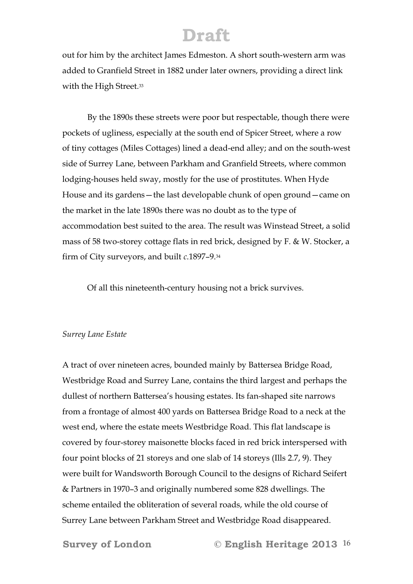out for him by the architect James Edmeston. A short south-western arm was added to Granfield Street in 1882 under later owners, providing a direct link with the High Street.<sup>33</sup>

 By the 1890s these streets were poor but respectable, though there were pockets of ugliness, especially at the south end of Spicer Street, where a row of tiny cottages (Miles Cottages) lined a dead-end alley; and on the south-west side of Surrey Lane, between Parkham and Granfield Streets, where common lodging-houses held sway, mostly for the use of prostitutes. When Hyde House and its gardens—the last developable chunk of open ground—came on the market in the late 1890s there was no doubt as to the type of accommodation best suited to the area. The result was Winstead Street, a solid mass of 58 two-storey cottage flats in red brick, designed by F. & W. Stocker, a firm of City surveyors, and built *c*.1897–9.34

Of all this nineteenth-century housing not a brick survives.

#### *Surrey Lane Estate*

A tract of over nineteen acres, bounded mainly by Battersea Bridge Road, Westbridge Road and Surrey Lane, contains the third largest and perhaps the dullest of northern Battersea's housing estates. Its fan-shaped site narrows from a frontage of almost 400 yards on Battersea Bridge Road to a neck at the west end, where the estate meets Westbridge Road. This flat landscape is covered by four-storey maisonette blocks faced in red brick interspersed with four point blocks of 21 storeys and one slab of 14 storeys (Ills 2.7, 9). They were built for Wandsworth Borough Council to the designs of Richard Seifert & Partners in 1970–3 and originally numbered some 828 dwellings. The scheme entailed the obliteration of several roads, while the old course of Surrey Lane between Parkham Street and Westbridge Road disappeared.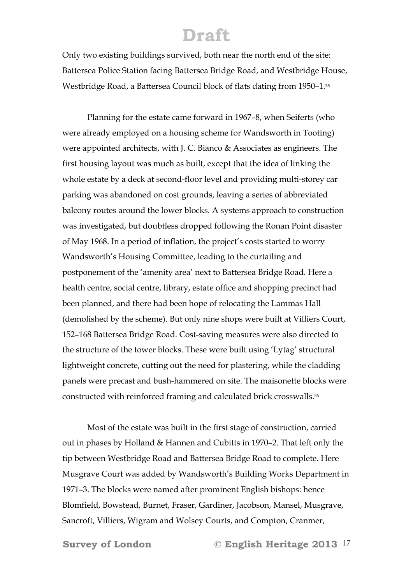Only two existing buildings survived, both near the north end of the site: Battersea Police Station facing Battersea Bridge Road, and Westbridge House, Westbridge Road, a Battersea Council block of flats dating from 1950–1.35

Planning for the estate came forward in 1967–8, when Seiferts (who were already employed on a housing scheme for Wandsworth in Tooting) were appointed architects, with J. C. Bianco & Associates as engineers. The first housing layout was much as built, except that the idea of linking the whole estate by a deck at second-floor level and providing multi-storey car parking was abandoned on cost grounds, leaving a series of abbreviated balcony routes around the lower blocks. A systems approach to construction was investigated, but doubtless dropped following the Ronan Point disaster of May 1968. In a period of inflation, the project's costs started to worry Wandsworth's Housing Committee, leading to the curtailing and postponement of the 'amenity area' next to Battersea Bridge Road. Here a health centre, social centre, library, estate office and shopping precinct had been planned, and there had been hope of relocating the Lammas Hall (demolished by the scheme). But only nine shops were built at Villiers Court, 152–168 Battersea Bridge Road. Cost-saving measures were also directed to the structure of the tower blocks. These were built using 'Lytag' structural lightweight concrete, cutting out the need for plastering, while the cladding panels were precast and bush-hammered on site. The maisonette blocks were constructed with reinforced framing and calculated brick crosswalls.36

Most of the estate was built in the first stage of construction, carried out in phases by Holland & Hannen and Cubitts in 1970–2. That left only the tip between Westbridge Road and Battersea Bridge Road to complete. Here Musgrave Court was added by Wandsworth's Building Works Department in 1971–3. The blocks were named after prominent English bishops: hence Blomfield, Bowstead, Burnet, Fraser, Gardiner, Jacobson, Mansel, Musgrave, Sancroft, Villiers, Wigram and Wolsey Courts, and Compton, Cranmer,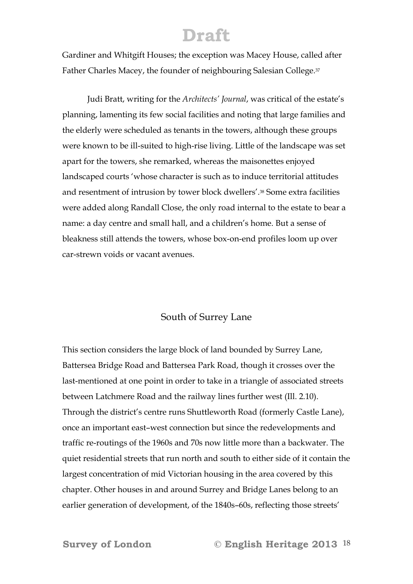Gardiner and Whitgift Houses; the exception was Macey House, called after Father Charles Macey, the founder of neighbouring Salesian College.<sup>37</sup>

Judi Bratt, writing for the *Architects' Journal*, was critical of the estate's planning, lamenting its few social facilities and noting that large families and the elderly were scheduled as tenants in the towers, although these groups were known to be ill-suited to high-rise living. Little of the landscape was set apart for the towers, she remarked, whereas the maisonettes enjoyed landscaped courts 'whose character is such as to induce territorial attitudes and resentment of intrusion by tower block dwellers'.38 Some extra facilities were added along Randall Close, the only road internal to the estate to bear a name: a day centre and small hall, and a children's home. But a sense of bleakness still attends the towers, whose box-on-end profiles loom up over car-strewn voids or vacant avenues.

#### South of Surrey Lane

This section considers the large block of land bounded by Surrey Lane, Battersea Bridge Road and Battersea Park Road, though it crosses over the last-mentioned at one point in order to take in a triangle of associated streets between Latchmere Road and the railway lines further west (Ill. 2.10). Through the district's centre runs Shuttleworth Road (formerly Castle Lane), once an important east–west connection but since the redevelopments and traffic re-routings of the 1960s and 70s now little more than a backwater. The quiet residential streets that run north and south to either side of it contain the largest concentration of mid Victorian housing in the area covered by this chapter. Other houses in and around Surrey and Bridge Lanes belong to an earlier generation of development, of the 1840s–60s, reflecting those streets'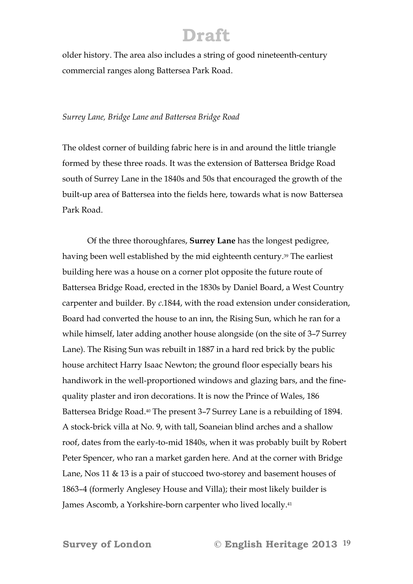older history. The area also includes a string of good nineteenth-century commercial ranges along Battersea Park Road.

#### *Surrey Lane, Bridge Lane and Battersea Bridge Road*

The oldest corner of building fabric here is in and around the little triangle formed by these three roads. It was the extension of Battersea Bridge Road south of Surrey Lane in the 1840s and 50s that encouraged the growth of the built-up area of Battersea into the fields here, towards what is now Battersea Park Road.

 Of the three thoroughfares, **Surrey Lane** has the longest pedigree, having been well established by the mid eighteenth century.<sup>39</sup> The earliest building here was a house on a corner plot opposite the future route of Battersea Bridge Road, erected in the 1830s by Daniel Board, a West Country carpenter and builder. By *c*.1844, with the road extension under consideration, Board had converted the house to an inn, the Rising Sun, which he ran for a while himself, later adding another house alongside (on the site of 3–7 Surrey Lane). The Rising Sun was rebuilt in 1887 in a hard red brick by the public house architect Harry Isaac Newton; the ground floor especially bears his handiwork in the well-proportioned windows and glazing bars, and the finequality plaster and iron decorations. It is now the Prince of Wales, 186 Battersea Bridge Road.<sup>40</sup> The present 3–7 Surrey Lane is a rebuilding of 1894. A stock-brick villa at No. 9, with tall, Soaneian blind arches and a shallow roof, dates from the early-to-mid 1840s, when it was probably built by Robert Peter Spencer, who ran a market garden here. And at the corner with Bridge Lane, Nos 11 & 13 is a pair of stuccoed two-storey and basement houses of 1863–4 (formerly Anglesey House and Villa); their most likely builder is James Ascomb, a Yorkshire-born carpenter who lived locally.41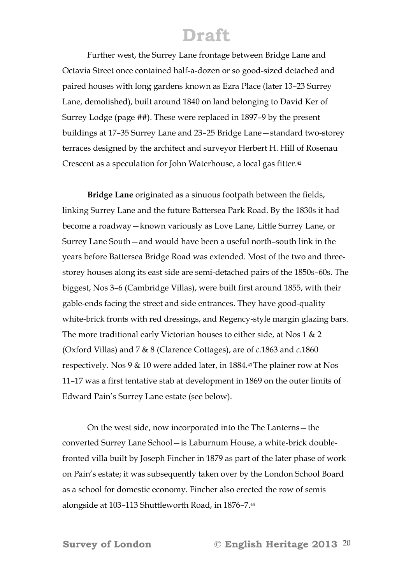Further west, the Surrey Lane frontage between Bridge Lane and Octavia Street once contained half-a-dozen or so good-sized detached and paired houses with long gardens known as Ezra Place (later 13–23 Surrey Lane, demolished), built around 1840 on land belonging to David Ker of Surrey Lodge (page ##). These were replaced in 1897–9 by the present buildings at 17–35 Surrey Lane and 23–25 Bridge Lane—standard two-storey terraces designed by the architect and surveyor Herbert H. Hill of Rosenau Crescent as a speculation for John Waterhouse, a local gas fitter.42

**Bridge Lane** originated as a sinuous footpath between the fields, linking Surrey Lane and the future Battersea Park Road. By the 1830s it had become a roadway—known variously as Love Lane, Little Surrey Lane, or Surrey Lane South—and would have been a useful north–south link in the years before Battersea Bridge Road was extended. Most of the two and threestorey houses along its east side are semi-detached pairs of the 1850s–60s. The biggest, Nos 3–6 (Cambridge Villas), were built first around 1855, with their gable-ends facing the street and side entrances. They have good-quality white-brick fronts with red dressings, and Regency-style margin glazing bars. The more traditional early Victorian houses to either side, at Nos 1 & 2 (Oxford Villas) and 7 & 8 (Clarence Cottages), are of *c*.1863 and *c*.1860 respectively. Nos 9 & 10 were added later, in 1884.43 The plainer row at Nos 11–17 was a first tentative stab at development in 1869 on the outer limits of Edward Pain's Surrey Lane estate (see below).

 On the west side, now incorporated into the The Lanterns—the converted Surrey Lane School—is Laburnum House, a white-brick doublefronted villa built by Joseph Fincher in 1879 as part of the later phase of work on Pain's estate; it was subsequently taken over by the London School Board as a school for domestic economy. Fincher also erected the row of semis alongside at 103–113 Shuttleworth Road, in 1876–7.44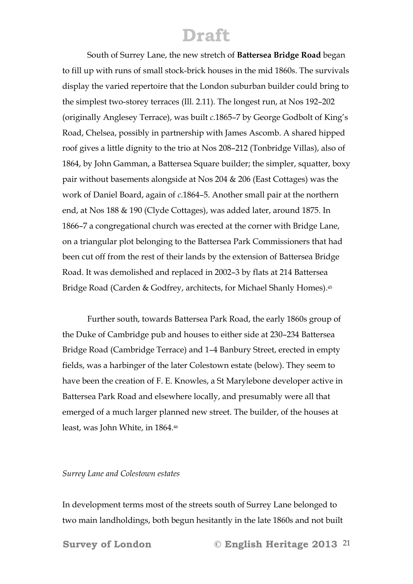South of Surrey Lane, the new stretch of **Battersea Bridge Road** began to fill up with runs of small stock-brick houses in the mid 1860s. The survivals display the varied repertoire that the London suburban builder could bring to the simplest two-storey terraces (Ill. 2.11). The longest run, at Nos 192–202 (originally Anglesey Terrace), was built *c*.1865–7 by George Godbolt of King's Road, Chelsea, possibly in partnership with James Ascomb. A shared hipped roof gives a little dignity to the trio at Nos 208–212 (Tonbridge Villas), also of 1864, by John Gamman, a Battersea Square builder; the simpler, squatter, boxy pair without basements alongside at Nos 204 & 206 (East Cottages) was the work of Daniel Board, again of *c*.1864–5. Another small pair at the northern end, at Nos 188 & 190 (Clyde Cottages), was added later, around 1875. In 1866–7 a congregational church was erected at the corner with Bridge Lane, on a triangular plot belonging to the Battersea Park Commissioners that had been cut off from the rest of their lands by the extension of Battersea Bridge Road. It was demolished and replaced in 2002–3 by flats at 214 Battersea Bridge Road (Carden & Godfrey, architects, for Michael Shanly Homes).45

 Further south, towards Battersea Park Road, the early 1860s group of the Duke of Cambridge pub and houses to either side at 230–234 Battersea Bridge Road (Cambridge Terrace) and 1–4 Banbury Street, erected in empty fields, was a harbinger of the later Colestown estate (below). They seem to have been the creation of F. E. Knowles, a St Marylebone developer active in Battersea Park Road and elsewhere locally, and presumably were all that emerged of a much larger planned new street. The builder, of the houses at least, was John White, in 1864.46

#### *Surrey Lane and Colestown estates*

In development terms most of the streets south of Surrey Lane belonged to two main landholdings, both begun hesitantly in the late 1860s and not built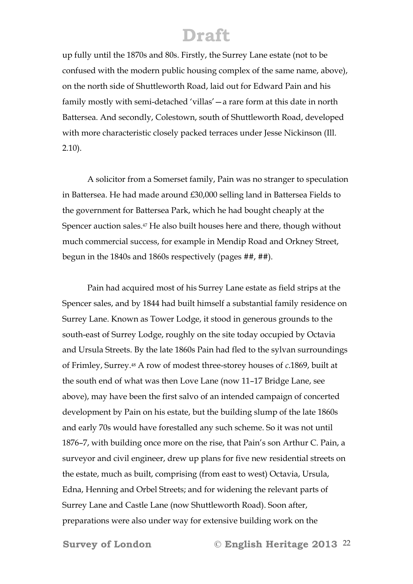up fully until the 1870s and 80s. Firstly, the Surrey Lane estate (not to be confused with the modern public housing complex of the same name, above), on the north side of Shuttleworth Road, laid out for Edward Pain and his family mostly with semi-detached 'villas'—a rare form at this date in north Battersea. And secondly, Colestown, south of Shuttleworth Road, developed with more characteristic closely packed terraces under Jesse Nickinson (Ill. 2.10).

A solicitor from a Somerset family, Pain was no stranger to speculation in Battersea. He had made around £30,000 selling land in Battersea Fields to the government for Battersea Park, which he had bought cheaply at the Spencer auction sales.<sup>47</sup> He also built houses here and there, though without much commercial success, for example in Mendip Road and Orkney Street, begun in the 1840s and 1860s respectively (pages ##, ##).

Pain had acquired most of his Surrey Lane estate as field strips at the Spencer sales, and by 1844 had built himself a substantial family residence on Surrey Lane. Known as Tower Lodge, it stood in generous grounds to the south-east of Surrey Lodge, roughly on the site today occupied by Octavia and Ursula Streets. By the late 1860s Pain had fled to the sylvan surroundings of Frimley, Surrey.48 A row of modest three-storey houses of *c*.1869, built at the south end of what was then Love Lane (now 11–17 Bridge Lane, see above), may have been the first salvo of an intended campaign of concerted development by Pain on his estate, but the building slump of the late 1860s and early 70s would have forestalled any such scheme. So it was not until 1876–7, with building once more on the rise, that Pain's son Arthur C. Pain, a surveyor and civil engineer, drew up plans for five new residential streets on the estate, much as built, comprising (from east to west) Octavia, Ursula, Edna, Henning and Orbel Streets; and for widening the relevant parts of Surrey Lane and Castle Lane (now Shuttleworth Road). Soon after, preparations were also under way for extensive building work on the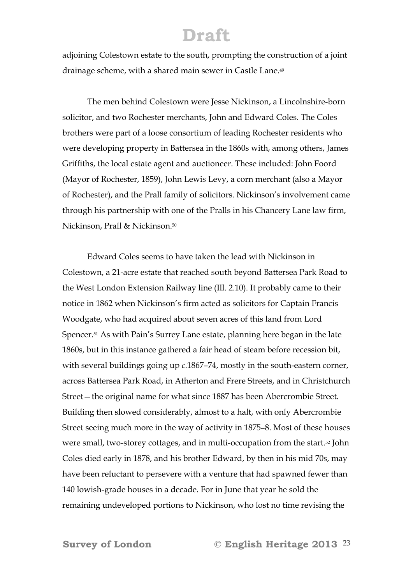adjoining Colestown estate to the south, prompting the construction of a joint drainage scheme, with a shared main sewer in Castle Lane.49

 The men behind Colestown were Jesse Nickinson, a Lincolnshire-born solicitor, and two Rochester merchants, John and Edward Coles. The Coles brothers were part of a loose consortium of leading Rochester residents who were developing property in Battersea in the 1860s with, among others, James Griffiths, the local estate agent and auctioneer. These included: John Foord (Mayor of Rochester, 1859), John Lewis Levy, a corn merchant (also a Mayor of Rochester), and the Prall family of solicitors. Nickinson's involvement came through his partnership with one of the Pralls in his Chancery Lane law firm, Nickinson, Prall & Nickinson.50

Edward Coles seems to have taken the lead with Nickinson in Colestown, a 21-acre estate that reached south beyond Battersea Park Road to the West London Extension Railway line (Ill. 2.10). It probably came to their notice in 1862 when Nickinson's firm acted as solicitors for Captain Francis Woodgate, who had acquired about seven acres of this land from Lord Spencer.51 As with Pain's Surrey Lane estate, planning here began in the late 1860s, but in this instance gathered a fair head of steam before recession bit, with several buildings going up *c*.1867–74, mostly in the south-eastern corner, across Battersea Park Road, in Atherton and Frere Streets, and in Christchurch Street—the original name for what since 1887 has been Abercrombie Street. Building then slowed considerably, almost to a halt, with only Abercrombie Street seeing much more in the way of activity in 1875–8. Most of these houses were small, two-storey cottages, and in multi-occupation from the start.52 John Coles died early in 1878, and his brother Edward, by then in his mid 70s, may have been reluctant to persevere with a venture that had spawned fewer than 140 lowish-grade houses in a decade. For in June that year he sold the remaining undeveloped portions to Nickinson, who lost no time revising the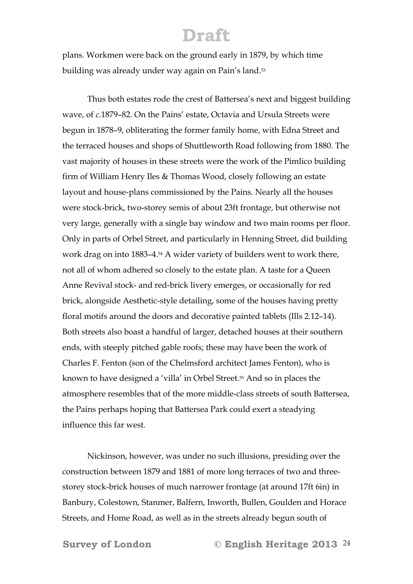plans. Workmen were back on the ground early in 1879, by which time building was already under way again on Pain's land.53

Thus both estates rode the crest of Battersea's next and biggest building wave, of *c*.1879–82. On the Pains' estate, Octavia and Ursula Streets were begun in 1878–9, obliterating the former family home, with Edna Street and the terraced houses and shops of Shuttleworth Road following from 1880. The vast majority of houses in these streets were the work of the Pimlico building firm of William Henry Iles & Thomas Wood, closely following an estate layout and house-plans commissioned by the Pains. Nearly all the houses were stock-brick, two-storey semis of about 23ft frontage, but otherwise not very large, generally with a single bay window and two main rooms per floor. Only in parts of Orbel Street, and particularly in Henning Street, did building work drag on into 1883–4.54 A wider variety of builders went to work there, not all of whom adhered so closely to the estate plan. A taste for a Queen Anne Revival stock- and red-brick livery emerges, or occasionally for red brick, alongside Aesthetic-style detailing, some of the houses having pretty floral motifs around the doors and decorative painted tablets (Ills 2.12–14). Both streets also boast a handful of larger, detached houses at their southern ends, with steeply pitched gable roofs; these may have been the work of Charles F. Fenton (son of the Chelmsford architect James Fenton), who is known to have designed a 'villa' in Orbel Street.55 And so in places the atmosphere resembles that of the more middle-class streets of south Battersea, the Pains perhaps hoping that Battersea Park could exert a steadying influence this far west.

Nickinson, however, was under no such illusions, presiding over the construction between 1879 and 1881 of more long terraces of two and threestorey stock-brick houses of much narrower frontage (at around 17ft 6in) in Banbury, Colestown, Stanmer, Balfern, Inworth, Bullen, Goulden and Horace Streets, and Home Road, as well as in the streets already begun south of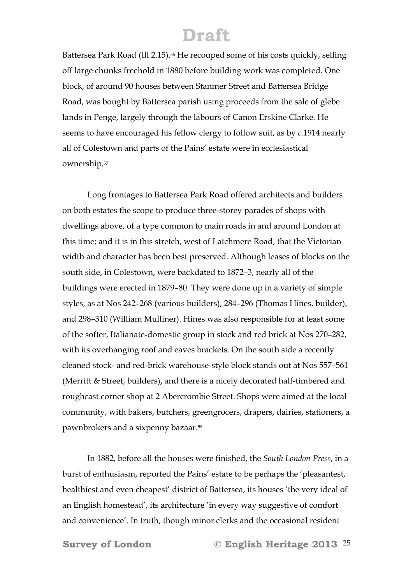Battersea Park Road (Ill 2.15).<sup>56</sup> He recouped some of his costs quickly, selling off large chunks freehold in 1880 before building work was completed. One block, of around 90 houses between Stanmer Street and Battersea Bridge Road, was bought by Battersea parish using proceeds from the sale of glebe lands in Penge, largely through the labours of Canon Erskine Clarke. He seems to have encouraged his fellow clergy to follow suit, as by *c*.1914 nearly all of Colestown and parts of the Pains' estate were in ecclesiastical ownership.57

Long frontages to Battersea Park Road offered architects and builders on both estates the scope to produce three-storey parades of shops with dwellings above, of a type common to main roads in and around London at this time; and it is in this stretch, west of Latchmere Road, that the Victorian width and character has been best preserved. Although leases of blocks on the south side, in Colestown, were backdated to 1872–3, nearly all of the buildings were erected in 1879–80. They were done up in a variety of simple styles, as at Nos 242–268 (various builders), 284–296 (Thomas Hines, builder), and 298–310 (William Mulliner). Hines was also responsible for at least some of the softer, Italianate-domestic group in stock and red brick at Nos 270–282, with its overhanging roof and eaves brackets. On the south side a recently cleaned stock- and red-brick warehouse-style block stands out at Nos 557–561 (Merritt & Street, builders), and there is a nicely decorated half-timbered and roughcast corner shop at 2 Abercrombie Street. Shops were aimed at the local community, with bakers, butchers, greengrocers, drapers, dairies, stationers, a pawnbrokers and a sixpenny bazaar.58

 In 1882, before all the houses were finished, the *South London Press*, in a burst of enthusiasm, reported the Pains' estate to be perhaps the 'pleasantest, healthiest and even cheapest' district of Battersea, its houses 'the very ideal of an English homestead', its architecture 'in every way suggestive of comfort and convenience'. In truth, though minor clerks and the occasional resident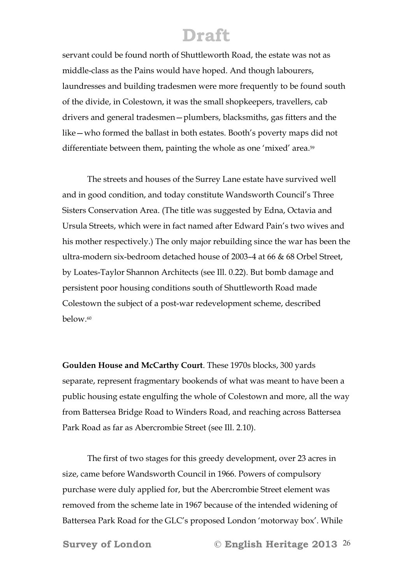servant could be found north of Shuttleworth Road, the estate was not as middle-class as the Pains would have hoped. And though labourers, laundresses and building tradesmen were more frequently to be found south of the divide, in Colestown, it was the small shopkeepers, travellers, cab drivers and general tradesmen—plumbers, blacksmiths, gas fitters and the like—who formed the ballast in both estates. Booth's poverty maps did not differentiate between them, painting the whole as one 'mixed' area.<sup>59</sup>

 The streets and houses of the Surrey Lane estate have survived well and in good condition, and today constitute Wandsworth Council's Three Sisters Conservation Area. (The title was suggested by Edna, Octavia and Ursula Streets, which were in fact named after Edward Pain's two wives and his mother respectively.) The only major rebuilding since the war has been the ultra-modern six-bedroom detached house of 2003–4 at 66 & 68 Orbel Street, by Loates-Taylor Shannon Architects (see Ill. 0.22). But bomb damage and persistent poor housing conditions south of Shuttleworth Road made Colestown the subject of a post-war redevelopment scheme, described below.60

**Goulden House and McCarthy Court**. These 1970s blocks, 300 yards separate, represent fragmentary bookends of what was meant to have been a public housing estate engulfing the whole of Colestown and more, all the way from Battersea Bridge Road to Winders Road, and reaching across Battersea Park Road as far as Abercrombie Street (see Ill. 2.10).

The first of two stages for this greedy development, over 23 acres in size, came before Wandsworth Council in 1966. Powers of compulsory purchase were duly applied for, but the Abercrombie Street element was removed from the scheme late in 1967 because of the intended widening of Battersea Park Road for the GLC's proposed London 'motorway box'. While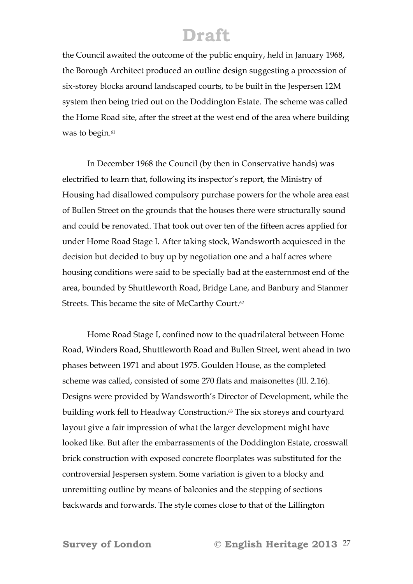the Council awaited the outcome of the public enquiry, held in January 1968, the Borough Architect produced an outline design suggesting a procession of six-storey blocks around landscaped courts, to be built in the Jespersen 12M system then being tried out on the Doddington Estate. The scheme was called the Home Road site, after the street at the west end of the area where building was to begin.<sup>61</sup>

In December 1968 the Council (by then in Conservative hands) was electrified to learn that, following its inspector's report, the Ministry of Housing had disallowed compulsory purchase powers for the whole area east of Bullen Street on the grounds that the houses there were structurally sound and could be renovated. That took out over ten of the fifteen acres applied for under Home Road Stage I. After taking stock, Wandsworth acquiesced in the decision but decided to buy up by negotiation one and a half acres where housing conditions were said to be specially bad at the easternmost end of the area, bounded by Shuttleworth Road, Bridge Lane, and Banbury and Stanmer Streets. This became the site of McCarthy Court.<sup>62</sup>

Home Road Stage I, confined now to the quadrilateral between Home Road, Winders Road, Shuttleworth Road and Bullen Street, went ahead in two phases between 1971 and about 1975. Goulden House, as the completed scheme was called, consisted of some 270 flats and maisonettes (Ill. 2.16). Designs were provided by Wandsworth's Director of Development, while the building work fell to Headway Construction.63 The six storeys and courtyard layout give a fair impression of what the larger development might have looked like. But after the embarrassments of the Doddington Estate, crosswall brick construction with exposed concrete floorplates was substituted for the controversial Jespersen system. Some variation is given to a blocky and unremitting outline by means of balconies and the stepping of sections backwards and forwards. The style comes close to that of the Lillington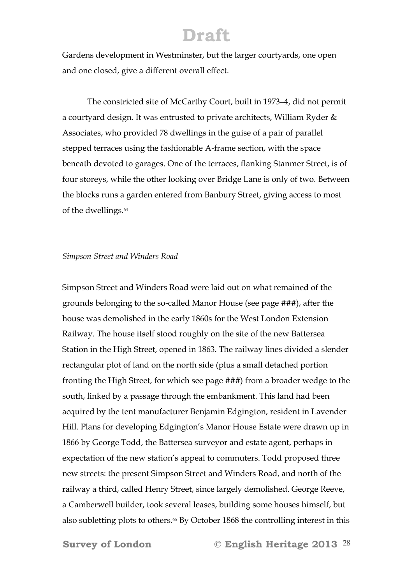Gardens development in Westminster, but the larger courtyards, one open and one closed, give a different overall effect.

The constricted site of McCarthy Court, built in 1973–4, did not permit a courtyard design. It was entrusted to private architects, William Ryder & Associates, who provided 78 dwellings in the guise of a pair of parallel stepped terraces using the fashionable A-frame section, with the space beneath devoted to garages. One of the terraces, flanking Stanmer Street, is of four storeys, while the other looking over Bridge Lane is only of two. Between the blocks runs a garden entered from Banbury Street, giving access to most of the dwellings.64

#### *Simpson Street and Winders Road*

Simpson Street and Winders Road were laid out on what remained of the grounds belonging to the so-called Manor House (see page ###), after the house was demolished in the early 1860s for the West London Extension Railway. The house itself stood roughly on the site of the new Battersea Station in the High Street, opened in 1863. The railway lines divided a slender rectangular plot of land on the north side (plus a small detached portion fronting the High Street, for which see page ###) from a broader wedge to the south, linked by a passage through the embankment. This land had been acquired by the tent manufacturer Benjamin Edgington, resident in Lavender Hill. Plans for developing Edgington's Manor House Estate were drawn up in 1866 by George Todd, the Battersea surveyor and estate agent, perhaps in expectation of the new station's appeal to commuters. Todd proposed three new streets: the present Simpson Street and Winders Road, and north of the railway a third, called Henry Street, since largely demolished. George Reeve, a Camberwell builder, took several leases, building some houses himself, but also subletting plots to others.65 By October 1868 the controlling interest in this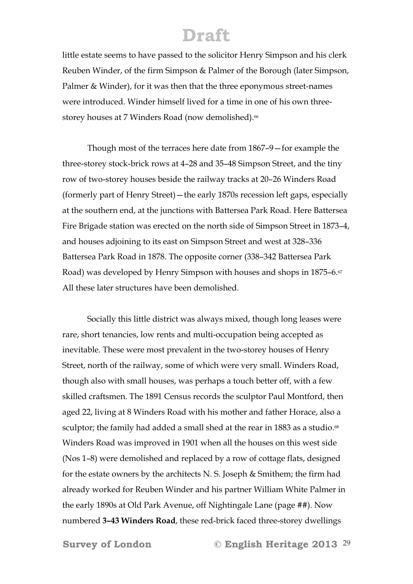little estate seems to have passed to the solicitor Henry Simpson and his clerk Reuben Winder, of the firm Simpson & Palmer of the Borough (later Simpson, Palmer & Winder), for it was then that the three eponymous street-names were introduced. Winder himself lived for a time in one of his own threestorey houses at 7 Winders Road (now demolished).<sup>66</sup>

 Though most of the terraces here date from 1867–9—for example the three-storey stock-brick rows at 4–28 and 35–48 Simpson Street, and the tiny row of two-storey houses beside the railway tracks at 20–26 Winders Road (formerly part of Henry Street)—the early 1870s recession left gaps, especially at the southern end, at the junctions with Battersea Park Road. Here Battersea Fire Brigade station was erected on the north side of Simpson Street in 1873–4, and houses adjoining to its east on Simpson Street and west at 328–336 Battersea Park Road in 1878. The opposite corner (338–342 Battersea Park Road) was developed by Henry Simpson with houses and shops in 1875–6.<sup>67</sup> All these later structures have been demolished.

 Socially this little district was always mixed, though long leases were rare, short tenancies, low rents and multi-occupation being accepted as inevitable. These were most prevalent in the two-storey houses of Henry Street, north of the railway, some of which were very small. Winders Road, though also with small houses, was perhaps a touch better off, with a few skilled craftsmen. The 1891 Census records the sculptor Paul Montford, then aged 22, living at 8 Winders Road with his mother and father Horace, also a sculptor; the family had added a small shed at the rear in 1883 as a studio.<sup>68</sup> Winders Road was improved in 1901 when all the houses on this west side (Nos 1–8) were demolished and replaced by a row of cottage flats, designed for the estate owners by the architects N. S. Joseph & Smithem; the firm had already worked for Reuben Winder and his partner William White Palmer in the early 1890s at Old Park Avenue, off Nightingale Lane (page ##). Now numbered **3–43 Winders Road**, these red-brick faced three-storey dwellings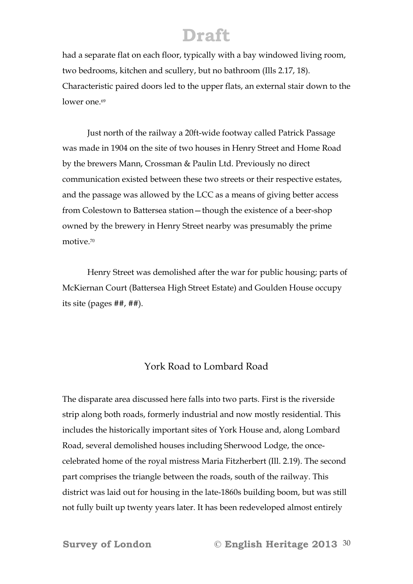had a separate flat on each floor, typically with a bay windowed living room, two bedrooms, kitchen and scullery, but no bathroom (Ills 2.17, 18). Characteristic paired doors led to the upper flats, an external stair down to the lower one.<sup>69</sup>

 Just north of the railway a 20ft-wide footway called Patrick Passage was made in 1904 on the site of two houses in Henry Street and Home Road by the brewers Mann, Crossman & Paulin Ltd. Previously no direct communication existed between these two streets or their respective estates, and the passage was allowed by the LCC as a means of giving better access from Colestown to Battersea station—though the existence of a beer-shop owned by the brewery in Henry Street nearby was presumably the prime motive.70

 Henry Street was demolished after the war for public housing; parts of McKiernan Court (Battersea High Street Estate) and Goulden House occupy its site (pages ##, ##).

#### York Road to Lombard Road

The disparate area discussed here falls into two parts. First is the riverside strip along both roads, formerly industrial and now mostly residential. This includes the historically important sites of York House and, along Lombard Road, several demolished houses including Sherwood Lodge, the oncecelebrated home of the royal mistress Maria Fitzherbert (Ill. 2.19). The second part comprises the triangle between the roads, south of the railway. This district was laid out for housing in the late-1860s building boom, but was still not fully built up twenty years later. It has been redeveloped almost entirely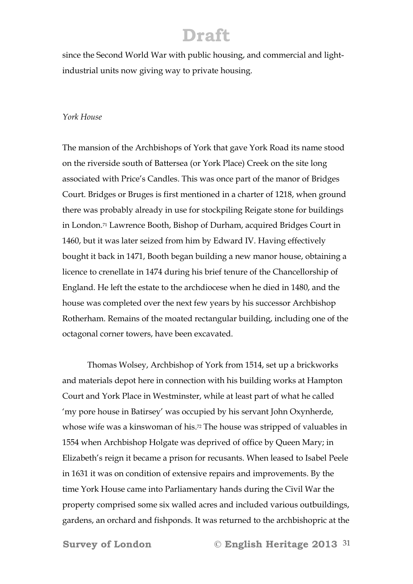since the Second World War with public housing, and commercial and lightindustrial units now giving way to private housing.

#### *York House*

The mansion of the Archbishops of York that gave York Road its name stood on the riverside south of Battersea (or York Place) Creek on the site long associated with Price's Candles. This was once part of the manor of Bridges Court. Bridges or Bruges is first mentioned in a charter of 1218, when ground there was probably already in use for stockpiling Reigate stone for buildings in London.71 Lawrence Booth, Bishop of Durham, acquired Bridges Court in 1460, but it was later seized from him by Edward IV. Having effectively bought it back in 1471, Booth began building a new manor house, obtaining a licence to crenellate in 1474 during his brief tenure of the Chancellorship of England. He left the estate to the archdiocese when he died in 1480, and the house was completed over the next few years by his successor Archbishop Rotherham. Remains of the moated rectangular building, including one of the octagonal corner towers, have been excavated.

 Thomas Wolsey, Archbishop of York from 1514, set up a brickworks and materials depot here in connection with his building works at Hampton Court and York Place in Westminster, while at least part of what he called 'my pore house in Batirsey' was occupied by his servant John Oxynherde, whose wife was a kinswoman of his.<sup>72</sup> The house was stripped of valuables in 1554 when Archbishop Holgate was deprived of office by Queen Mary; in Elizabeth's reign it became a prison for recusants. When leased to Isabel Peele in 1631 it was on condition of extensive repairs and improvements. By the time York House came into Parliamentary hands during the Civil War the property comprised some six walled acres and included various outbuildings, gardens, an orchard and fishponds. It was returned to the archbishopric at the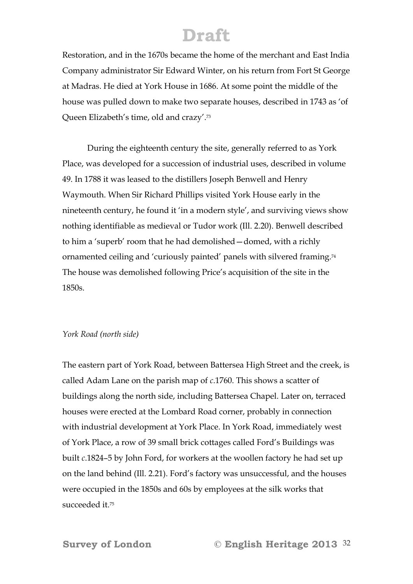Restoration, and in the 1670s became the home of the merchant and East India Company administrator Sir Edward Winter, on his return from Fort St George at Madras. He died at York House in 1686. At some point the middle of the house was pulled down to make two separate houses, described in 1743 as 'of Queen Elizabeth's time, old and crazy'.73

 During the eighteenth century the site, generally referred to as York Place, was developed for a succession of industrial uses, described in volume 49. In 1788 it was leased to the distillers Joseph Benwell and Henry Waymouth. When Sir Richard Phillips visited York House early in the nineteenth century, he found it 'in a modern style', and surviving views show nothing identifiable as medieval or Tudor work (Ill. 2.20). Benwell described to him a 'superb' room that he had demolished—domed, with a richly ornamented ceiling and 'curiously painted' panels with silvered framing.74 The house was demolished following Price's acquisition of the site in the 1850s.

#### *York Road (north side)*

The eastern part of York Road, between Battersea High Street and the creek, is called Adam Lane on the parish map of *c*.1760. This shows a scatter of buildings along the north side, including Battersea Chapel. Later on, terraced houses were erected at the Lombard Road corner, probably in connection with industrial development at York Place. In York Road, immediately west of York Place, a row of 39 small brick cottages called Ford's Buildings was built *c*.1824–5 by John Ford, for workers at the woollen factory he had set up on the land behind (Ill. 2.21). Ford's factory was unsuccessful, and the houses were occupied in the 1850s and 60s by employees at the silk works that succeeded it.75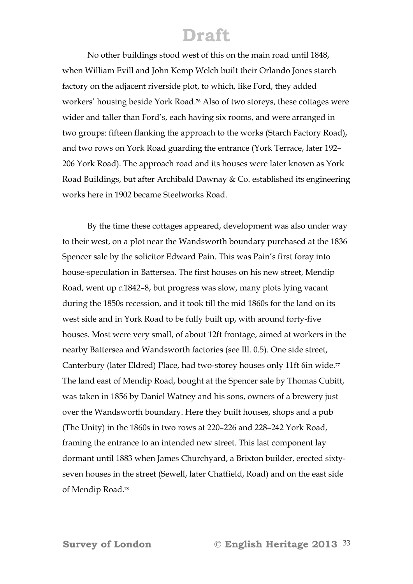No other buildings stood west of this on the main road until 1848, when William Evill and John Kemp Welch built their Orlando Jones starch factory on the adjacent riverside plot, to which, like Ford, they added workers' housing beside York Road.76 Also of two storeys, these cottages were wider and taller than Ford's, each having six rooms, and were arranged in two groups: fifteen flanking the approach to the works (Starch Factory Road), and two rows on York Road guarding the entrance (York Terrace, later 192– 206 York Road). The approach road and its houses were later known as York Road Buildings, but after Archibald Dawnay & Co. established its engineering works here in 1902 became Steelworks Road.

By the time these cottages appeared, development was also under way to their west, on a plot near the Wandsworth boundary purchased at the 1836 Spencer sale by the solicitor Edward Pain. This was Pain's first foray into house-speculation in Battersea. The first houses on his new street, Mendip Road, went up *c*.1842–8, but progress was slow, many plots lying vacant during the 1850s recession, and it took till the mid 1860s for the land on its west side and in York Road to be fully built up, with around forty-five houses. Most were very small, of about 12ft frontage, aimed at workers in the nearby Battersea and Wandsworth factories (see Ill. 0.5). One side street, Canterbury (later Eldred) Place, had two-storey houses only 11ft 6in wide.<sup>77</sup> The land east of Mendip Road, bought at the Spencer sale by Thomas Cubitt, was taken in 1856 by Daniel Watney and his sons, owners of a brewery just over the Wandsworth boundary. Here they built houses, shops and a pub (The Unity) in the 1860s in two rows at 220–226 and 228–242 York Road, framing the entrance to an intended new street. This last component lay dormant until 1883 when James Churchyard, a Brixton builder, erected sixtyseven houses in the street (Sewell, later Chatfield, Road) and on the east side of Mendip Road.78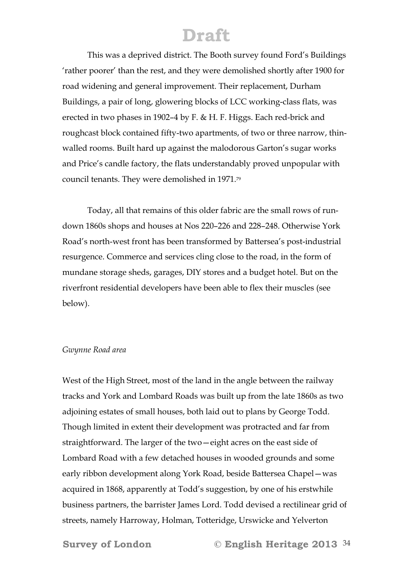This was a deprived district. The Booth survey found Ford's Buildings 'rather poorer' than the rest, and they were demolished shortly after 1900 for road widening and general improvement. Their replacement, Durham Buildings, a pair of long, glowering blocks of LCC working-class flats, was erected in two phases in 1902–4 by F. & H. F. Higgs. Each red-brick and roughcast block contained fifty-two apartments, of two or three narrow, thinwalled rooms. Built hard up against the malodorous Garton's sugar works and Price's candle factory, the flats understandably proved unpopular with council tenants. They were demolished in 1971.79

 Today, all that remains of this older fabric are the small rows of rundown 1860s shops and houses at Nos 220–226 and 228–248. Otherwise York Road's north-west front has been transformed by Battersea's post-industrial resurgence. Commerce and services cling close to the road, in the form of mundane storage sheds, garages, DIY stores and a budget hotel. But on the riverfront residential developers have been able to flex their muscles (see below).

#### *Gwynne Road area*

West of the High Street, most of the land in the angle between the railway tracks and York and Lombard Roads was built up from the late 1860s as two adjoining estates of small houses, both laid out to plans by George Todd. Though limited in extent their development was protracted and far from straightforward. The larger of the two—eight acres on the east side of Lombard Road with a few detached houses in wooded grounds and some early ribbon development along York Road, beside Battersea Chapel—was acquired in 1868, apparently at Todd's suggestion, by one of his erstwhile business partners, the barrister James Lord. Todd devised a rectilinear grid of streets, namely Harroway, Holman, Totteridge, Urswicke and Yelverton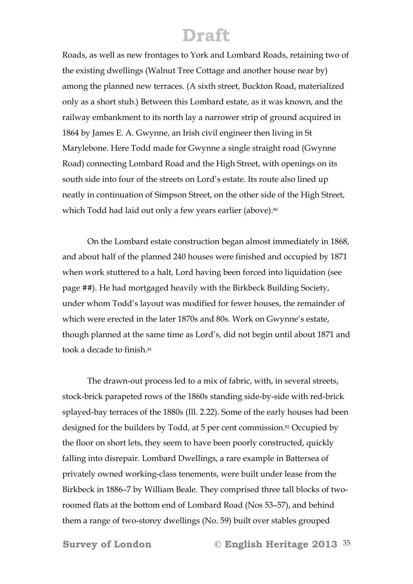Roads, as well as new frontages to York and Lombard Roads, retaining two of the existing dwellings (Walnut Tree Cottage and another house near by) among the planned new terraces. (A sixth street, Buckton Road, materialized only as a short stub.) Between this Lombard estate, as it was known, and the railway embankment to its north lay a narrower strip of ground acquired in 1864 by James E. A. Gwynne, an Irish civil engineer then living in St Marylebone. Here Todd made for Gwynne a single straight road (Gwynne Road) connecting Lombard Road and the High Street, with openings on its south side into four of the streets on Lord's estate. Its route also lined up neatly in continuation of Simpson Street, on the other side of the High Street, which Todd had laid out only a few years earlier (above).<sup>80</sup>

On the Lombard estate construction began almost immediately in 1868, and about half of the planned 240 houses were finished and occupied by 1871 when work stuttered to a halt, Lord having been forced into liquidation (see page ##). He had mortgaged heavily with the Birkbeck Building Society, under whom Todd's layout was modified for fewer houses, the remainder of which were erected in the later 1870s and 80s. Work on Gwynne's estate, though planned at the same time as Lord's, did not begin until about 1871 and took a decade to finish.81

The drawn-out process led to a mix of fabric, with, in several streets, stock-brick parapeted rows of the 1860s standing side-by-side with red-brick splayed-bay terraces of the 1880s (Ill. 2.22). Some of the early houses had been designed for the builders by Todd, at 5 per cent commission.<sup>82</sup> Occupied by the floor on short lets, they seem to have been poorly constructed, quickly falling into disrepair. Lombard Dwellings, a rare example in Battersea of privately owned working-class tenements, were built under lease from the Birkbeck in 1886–7 by William Beale. They comprised three tall blocks of tworoomed flats at the bottom end of Lombard Road (Nos 53–57), and behind them a range of two-storey dwellings (No. 59) built over stables grouped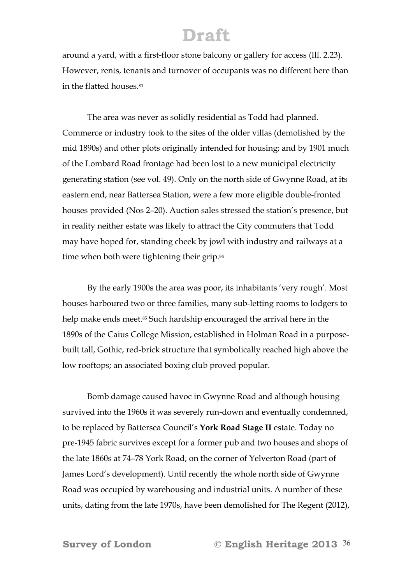around a yard, with a first-floor stone balcony or gallery for access (Ill. 2.23). However, rents, tenants and turnover of occupants was no different here than in the flatted houses.83

 The area was never as solidly residential as Todd had planned. Commerce or industry took to the sites of the older villas (demolished by the mid 1890s) and other plots originally intended for housing; and by 1901 much of the Lombard Road frontage had been lost to a new municipal electricity generating station (see vol. 49). Only on the north side of Gwynne Road, at its eastern end, near Battersea Station, were a few more eligible double-fronted houses provided (Nos 2–20). Auction sales stressed the station's presence, but in reality neither estate was likely to attract the City commuters that Todd may have hoped for, standing cheek by jowl with industry and railways at a time when both were tightening their grip.<sup>84</sup>

 By the early 1900s the area was poor, its inhabitants 'very rough'. Most houses harboured two or three families, many sub-letting rooms to lodgers to help make ends meet.<sup>85</sup> Such hardship encouraged the arrival here in the 1890s of the Caius College Mission, established in Holman Road in a purposebuilt tall, Gothic, red-brick structure that symbolically reached high above the low rooftops; an associated boxing club proved popular.

 Bomb damage caused havoc in Gwynne Road and although housing survived into the 1960s it was severely run-down and eventually condemned, to be replaced by Battersea Council's **York Road Stage II** estate. Today no pre-1945 fabric survives except for a former pub and two houses and shops of the late 1860s at 74–78 York Road, on the corner of Yelverton Road (part of James Lord's development). Until recently the whole north side of Gwynne Road was occupied by warehousing and industrial units. A number of these units, dating from the late 1970s, have been demolished for The Regent (2012),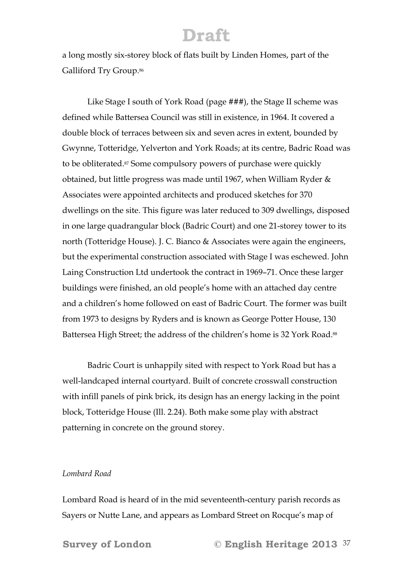a long mostly six-storey block of flats built by Linden Homes, part of the Galliford Try Group.<sup>86</sup>

 Like Stage I south of York Road (page ###), the Stage II scheme was defined while Battersea Council was still in existence, in 1964. It covered a double block of terraces between six and seven acres in extent, bounded by Gwynne, Totteridge, Yelverton and York Roads; at its centre, Badric Road was to be obliterated.<sup>87</sup> Some compulsory powers of purchase were quickly obtained, but little progress was made until 1967, when William Ryder & Associates were appointed architects and produced sketches for 370 dwellings on the site. This figure was later reduced to 309 dwellings, disposed in one large quadrangular block (Badric Court) and one 21-storey tower to its north (Totteridge House). J. C. Bianco & Associates were again the engineers, but the experimental construction associated with Stage I was eschewed. John Laing Construction Ltd undertook the contract in 1969–71. Once these larger buildings were finished, an old people's home with an attached day centre and a children's home followed on east of Badric Court. The former was built from 1973 to designs by Ryders and is known as George Potter House, 130 Battersea High Street; the address of the children's home is 32 York Road.88

 Badric Court is unhappily sited with respect to York Road but has a well-landcaped internal courtyard. Built of concrete crosswall construction with infill panels of pink brick, its design has an energy lacking in the point block, Totteridge House (Ill. 2.24). Both make some play with abstract patterning in concrete on the ground storey.

#### *Lombard Road*

Lombard Road is heard of in the mid seventeenth-century parish records as Sayers or Nutte Lane, and appears as Lombard Street on Rocque's map of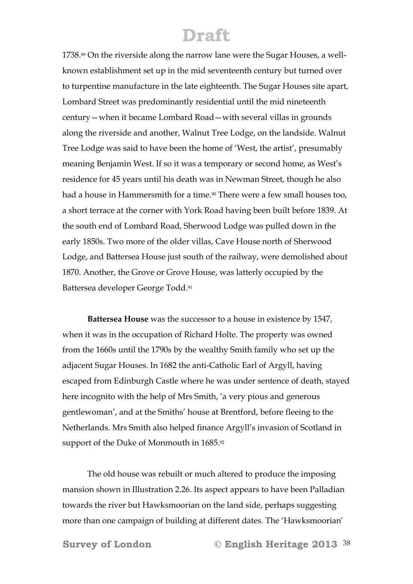1738.89 On the riverside along the narrow lane were the Sugar Houses, a wellknown establishment set up in the mid seventeenth century but turned over to turpentine manufacture in the late eighteenth. The Sugar Houses site apart, Lombard Street was predominantly residential until the mid nineteenth century—when it became Lombard Road—with several villas in grounds along the riverside and another, Walnut Tree Lodge, on the landside. Walnut Tree Lodge was said to have been the home of 'West, the artist', presumably meaning Benjamin West. If so it was a temporary or second home, as West's residence for 45 years until his death was in Newman Street, though he also had a house in Hammersmith for a time.<sup>90</sup> There were a few small houses too, a short terrace at the corner with York Road having been built before 1839. At the south end of Lombard Road, Sherwood Lodge was pulled down in the early 1850s. Two more of the older villas, Cave House north of Sherwood Lodge, and Battersea House just south of the railway, were demolished about 1870. Another, the Grove or Grove House, was latterly occupied by the Battersea developer George Todd.91

 **Battersea House** was the successor to a house in existence by 1547, when it was in the occupation of Richard Holte. The property was owned from the 1660s until the 1790s by the wealthy Smith family who set up the adjacent Sugar Houses. In 1682 the anti-Catholic Earl of Argyll, having escaped from Edinburgh Castle where he was under sentence of death, stayed here incognito with the help of Mrs Smith, 'a very pious and generous gentlewoman', and at the Smiths' house at Brentford, before fleeing to the Netherlands. Mrs Smith also helped finance Argyll's invasion of Scotland in support of the Duke of Monmouth in 1685.92

 The old house was rebuilt or much altered to produce the imposing mansion shown in Illustration 2.26. Its aspect appears to have been Palladian towards the river but Hawksmoorian on the land side, perhaps suggesting more than one campaign of building at different dates. The 'Hawksmoorian'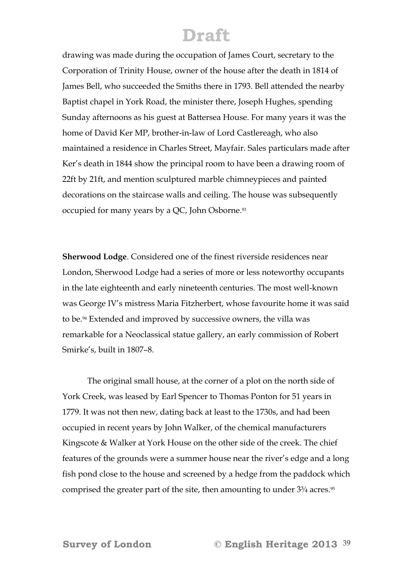drawing was made during the occupation of James Court, secretary to the Corporation of Trinity House, owner of the house after the death in 1814 of James Bell, who succeeded the Smiths there in 1793. Bell attended the nearby Baptist chapel in York Road, the minister there, Joseph Hughes, spending Sunday afternoons as his guest at Battersea House. For many years it was the home of David Ker MP, brother-in-law of Lord Castlereagh, who also maintained a residence in Charles Street, Mayfair. Sales particulars made after Ker's death in 1844 show the principal room to have been a drawing room of 22ft by 21ft, and mention sculptured marble chimneypieces and painted decorations on the staircase walls and ceiling. The house was subsequently occupied for many years by a QC, John Osborne.93

**Sherwood Lodge**. Considered one of the finest riverside residences near London, Sherwood Lodge had a series of more or less noteworthy occupants in the late eighteenth and early nineteenth centuries. The most well-known was George IV's mistress Maria Fitzherbert, whose favourite home it was said to be.94 Extended and improved by successive owners, the villa was remarkable for a Neoclassical statue gallery, an early commission of Robert Smirke's, built in 1807–8.

 The original small house, at the corner of a plot on the north side of York Creek, was leased by Earl Spencer to Thomas Ponton for 51 years in 1779. It was not then new, dating back at least to the 1730s, and had been occupied in recent years by John Walker, of the chemical manufacturers Kingscote & Walker at York House on the other side of the creek. The chief features of the grounds were a summer house near the river's edge and a long fish pond close to the house and screened by a hedge from the paddock which comprised the greater part of the site, then amounting to under 3¾ acres.95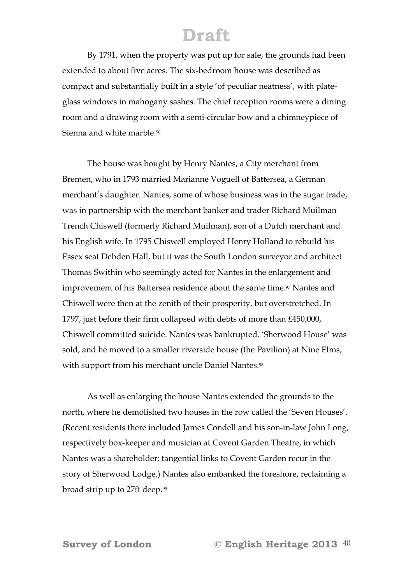By 1791, when the property was put up for sale, the grounds had been extended to about five acres. The six-bedroom house was described as compact and substantially built in a style 'of peculiar neatness', with plateglass windows in mahogany sashes. The chief reception rooms were a dining room and a drawing room with a semi-circular bow and a chimneypiece of Sienna and white marble.<sup>96</sup>

 The house was bought by Henry Nantes, a City merchant from Bremen, who in 1793 married Marianne Voguell of Battersea, a German merchant's daughter. Nantes, some of whose business was in the sugar trade, was in partnership with the merchant banker and trader Richard Muilman Trench Chiswell (formerly Richard Muilman), son of a Dutch merchant and his English wife. In 1795 Chiswell employed Henry Holland to rebuild his Essex seat Debden Hall, but it was the South London surveyor and architect Thomas Swithin who seemingly acted for Nantes in the enlargement and improvement of his Battersea residence about the same time.<sup>97</sup> Nantes and Chiswell were then at the zenith of their prosperity, but overstretched. In 1797, just before their firm collapsed with debts of more than £450,000, Chiswell committed suicide. Nantes was bankrupted. 'Sherwood House' was sold, and he moved to a smaller riverside house (the Pavilion) at Nine Elms, with support from his merchant uncle Daniel Nantes.<sup>98</sup>

 As well as enlarging the house Nantes extended the grounds to the north, where he demolished two houses in the row called the 'Seven Houses'. (Recent residents there included James Condell and his son-in-law John Long, respectively box-keeper and musician at Covent Garden Theatre, in which Nantes was a shareholder; tangential links to Covent Garden recur in the story of Sherwood Lodge.) Nantes also embanked the foreshore, reclaiming a broad strip up to 27ft deep.<sup>99</sup>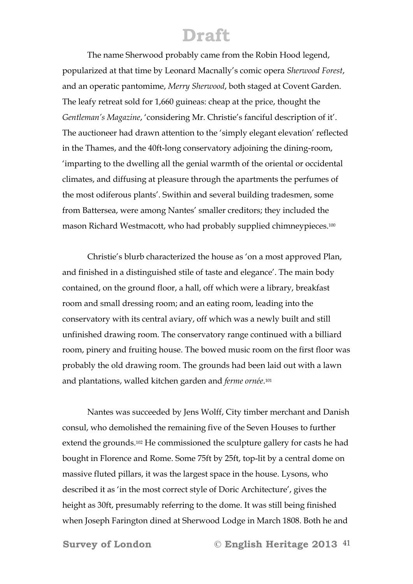The name Sherwood probably came from the Robin Hood legend, popularized at that time by Leonard Macnally's comic opera *Sherwood Forest*, and an operatic pantomime, *Merry Sherwood*, both staged at Covent Garden. The leafy retreat sold for 1,660 guineas: cheap at the price, thought the *Gentleman's Magazine*, 'considering Mr. Christie's fanciful description of it'. The auctioneer had drawn attention to the 'simply elegant elevation' reflected in the Thames, and the 40ft-long conservatory adjoining the dining-room, 'imparting to the dwelling all the genial warmth of the oriental or occidental climates, and diffusing at pleasure through the apartments the perfumes of the most odiferous plants'. Swithin and several building tradesmen, some from Battersea, were among Nantes' smaller creditors; they included the mason Richard Westmacott, who had probably supplied chimneypieces.100

 Christie's blurb characterized the house as 'on a most approved Plan, and finished in a distinguished stile of taste and elegance'. The main body contained, on the ground floor, a hall, off which were a library, breakfast room and small dressing room; and an eating room, leading into the conservatory with its central aviary, off which was a newly built and still unfinished drawing room. The conservatory range continued with a billiard room, pinery and fruiting house. The bowed music room on the first floor was probably the old drawing room. The grounds had been laid out with a lawn and plantations, walled kitchen garden and *ferme ornée*.101

 Nantes was succeeded by Jens Wolff, City timber merchant and Danish consul, who demolished the remaining five of the Seven Houses to further extend the grounds.102 He commissioned the sculpture gallery for casts he had bought in Florence and Rome. Some 75ft by 25ft, top-lit by a central dome on massive fluted pillars, it was the largest space in the house. Lysons, who described it as 'in the most correct style of Doric Architecture', gives the height as 30ft, presumably referring to the dome. It was still being finished when Joseph Farington dined at Sherwood Lodge in March 1808. Both he and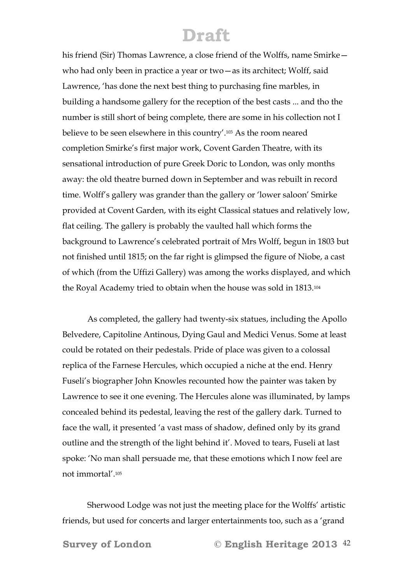his friend (Sir) Thomas Lawrence, a close friend of the Wolffs, name Smirke who had only been in practice a year or two—as its architect; Wolff, said Lawrence, 'has done the next best thing to purchasing fine marbles, in building a handsome gallery for the reception of the best casts ... and tho the number is still short of being complete, there are some in his collection not I believe to be seen elsewhere in this country'.103 As the room neared completion Smirke's first major work, Covent Garden Theatre, with its sensational introduction of pure Greek Doric to London, was only months away: the old theatre burned down in September and was rebuilt in record time. Wolff's gallery was grander than the gallery or 'lower saloon' Smirke provided at Covent Garden, with its eight Classical statues and relatively low, flat ceiling. The gallery is probably the vaulted hall which forms the background to Lawrence's celebrated portrait of Mrs Wolff, begun in 1803 but not finished until 1815; on the far right is glimpsed the figure of Niobe, a cast of which (from the Uffizi Gallery) was among the works displayed, and which the Royal Academy tried to obtain when the house was sold in 1813.104

 As completed, the gallery had twenty-six statues, including the Apollo Belvedere, Capitoline Antinous, Dying Gaul and Medici Venus. Some at least could be rotated on their pedestals. Pride of place was given to a colossal replica of the Farnese Hercules, which occupied a niche at the end. Henry Fuseli's biographer John Knowles recounted how the painter was taken by Lawrence to see it one evening. The Hercules alone was illuminated, by lamps concealed behind its pedestal, leaving the rest of the gallery dark. Turned to face the wall, it presented 'a vast mass of shadow, defined only by its grand outline and the strength of the light behind it'. Moved to tears, Fuseli at last spoke: 'No man shall persuade me, that these emotions which I now feel are not immortal'.105

 Sherwood Lodge was not just the meeting place for the Wolffs' artistic friends, but used for concerts and larger entertainments too, such as a 'grand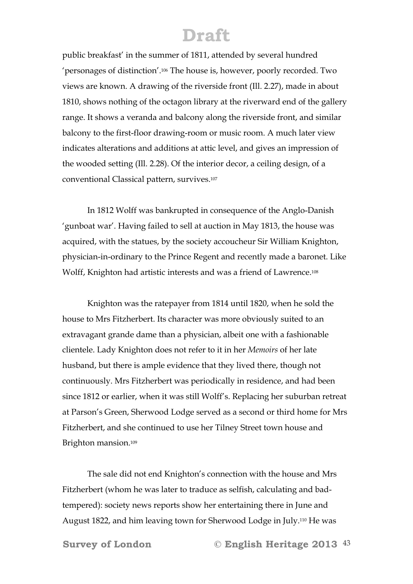public breakfast' in the summer of 1811, attended by several hundred 'personages of distinction'.106 The house is, however, poorly recorded. Two views are known. A drawing of the riverside front (Ill. 2.27), made in about 1810, shows nothing of the octagon library at the riverward end of the gallery range. It shows a veranda and balcony along the riverside front, and similar balcony to the first-floor drawing-room or music room. A much later view indicates alterations and additions at attic level, and gives an impression of the wooded setting (Ill. 2.28). Of the interior decor, a ceiling design, of a conventional Classical pattern, survives.107

 In 1812 Wolff was bankrupted in consequence of the Anglo-Danish 'gunboat war'. Having failed to sell at auction in May 1813, the house was acquired, with the statues, by the society accoucheur Sir William Knighton, physician-in-ordinary to the Prince Regent and recently made a baronet. Like Wolff, Knighton had artistic interests and was a friend of Lawrence.108

 Knighton was the ratepayer from 1814 until 1820, when he sold the house to Mrs Fitzherbert. Its character was more obviously suited to an extravagant grande dame than a physician, albeit one with a fashionable clientele. Lady Knighton does not refer to it in her *Memoirs* of her late husband, but there is ample evidence that they lived there, though not continuously. Mrs Fitzherbert was periodically in residence, and had been since 1812 or earlier, when it was still Wolff's. Replacing her suburban retreat at Parson's Green, Sherwood Lodge served as a second or third home for Mrs Fitzherbert, and she continued to use her Tilney Street town house and Brighton mansion.109

 The sale did not end Knighton's connection with the house and Mrs Fitzherbert (whom he was later to traduce as selfish, calculating and badtempered): society news reports show her entertaining there in June and August 1822, and him leaving town for Sherwood Lodge in July.110 He was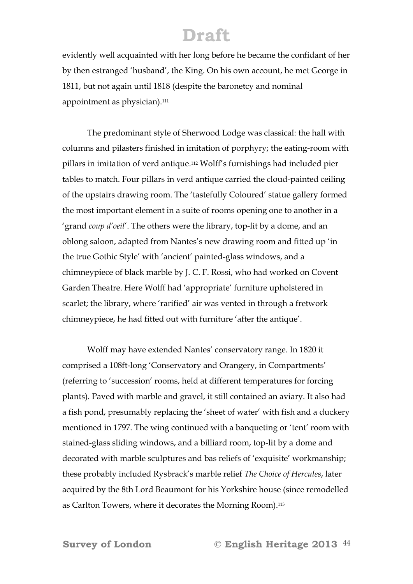evidently well acquainted with her long before he became the confidant of her by then estranged 'husband', the King. On his own account, he met George in 1811, but not again until 1818 (despite the baronetcy and nominal appointment as physician).<sup>111</sup>

 The predominant style of Sherwood Lodge was classical: the hall with columns and pilasters finished in imitation of porphyry; the eating-room with pillars in imitation of verd antique.112 Wolff's furnishings had included pier tables to match. Four pillars in verd antique carried the cloud-painted ceiling of the upstairs drawing room. The 'tastefully Coloured' statue gallery formed the most important element in a suite of rooms opening one to another in a 'grand *coup d'oeil*'. The others were the library, top-lit by a dome, and an oblong saloon, adapted from Nantes's new drawing room and fitted up 'in the true Gothic Style' with 'ancient' painted-glass windows, and a chimneypiece of black marble by J. C. F. Rossi, who had worked on Covent Garden Theatre. Here Wolff had 'appropriate' furniture upholstered in scarlet; the library, where 'rarified' air was vented in through a fretwork chimneypiece, he had fitted out with furniture 'after the antique'.

 Wolff may have extended Nantes' conservatory range. In 1820 it comprised a 108ft-long 'Conservatory and Orangery, in Compartments' (referring to 'succession' rooms, held at different temperatures for forcing plants). Paved with marble and gravel, it still contained an aviary. It also had a fish pond, presumably replacing the 'sheet of water' with fish and a duckery mentioned in 1797. The wing continued with a banqueting or 'tent' room with stained-glass sliding windows, and a billiard room, top-lit by a dome and decorated with marble sculptures and bas reliefs of 'exquisite' workmanship; these probably included Rysbrack's marble relief *The Choice of Hercules*, later acquired by the 8th Lord Beaumont for his Yorkshire house (since remodelled as Carlton Towers, where it decorates the Morning Room).<sup>113</sup>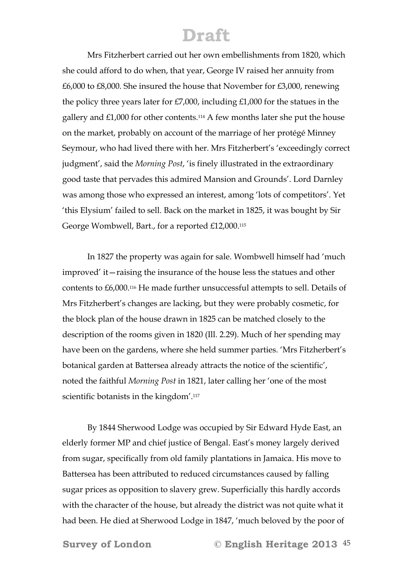Mrs Fitzherbert carried out her own embellishments from 1820, which she could afford to do when, that year, George IV raised her annuity from £6,000 to £8,000. She insured the house that November for £3,000, renewing the policy three years later for £7,000, including £1,000 for the statues in the gallery and £1,000 for other contents.114 A few months later she put the house on the market, probably on account of the marriage of her protégé Minney Seymour, who had lived there with her. Mrs Fitzherbert's 'exceedingly correct judgment', said the *Morning Post*, 'is finely illustrated in the extraordinary good taste that pervades this admired Mansion and Grounds'. Lord Darnley was among those who expressed an interest, among 'lots of competitors'. Yet 'this Elysium' failed to sell. Back on the market in 1825, it was bought by Sir George Wombwell, Bart., for a reported £12,000.115

 In 1827 the property was again for sale. Wombwell himself had 'much improved' it—raising the insurance of the house less the statues and other contents to £6,000.116 He made further unsuccessful attempts to sell. Details of Mrs Fitzherbert's changes are lacking, but they were probably cosmetic, for the block plan of the house drawn in 1825 can be matched closely to the description of the rooms given in 1820 (Ill. 2.29). Much of her spending may have been on the gardens, where she held summer parties. 'Mrs Fitzherbert's botanical garden at Battersea already attracts the notice of the scientific', noted the faithful *Morning Post* in 1821, later calling her 'one of the most scientific botanists in the kingdom'.117

 By 1844 Sherwood Lodge was occupied by Sir Edward Hyde East, an elderly former MP and chief justice of Bengal. East's money largely derived from sugar, specifically from old family plantations in Jamaica. His move to Battersea has been attributed to reduced circumstances caused by falling sugar prices as opposition to slavery grew. Superficially this hardly accords with the character of the house, but already the district was not quite what it had been. He died at Sherwood Lodge in 1847, 'much beloved by the poor of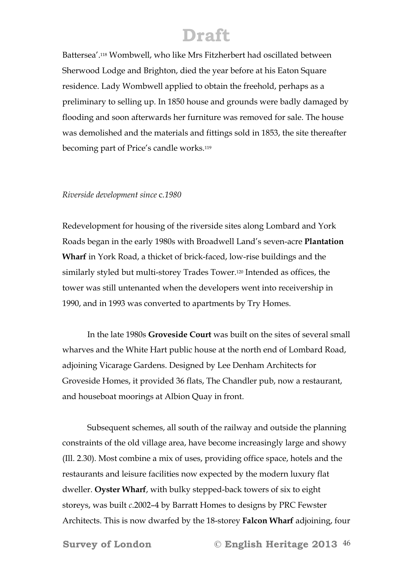Battersea'.118 Wombwell, who like Mrs Fitzherbert had oscillated between Sherwood Lodge and Brighton, died the year before at his Eaton Square residence. Lady Wombwell applied to obtain the freehold, perhaps as a preliminary to selling up. In 1850 house and grounds were badly damaged by flooding and soon afterwards her furniture was removed for sale. The house was demolished and the materials and fittings sold in 1853, the site thereafter becoming part of Price's candle works.119

#### *Riverside development since* c*.1980*

Redevelopment for housing of the riverside sites along Lombard and York Roads began in the early 1980s with Broadwell Land's seven-acre **Plantation Wharf** in York Road, a thicket of brick-faced, low-rise buildings and the similarly styled but multi-storey Trades Tower.120 Intended as offices, the tower was still untenanted when the developers went into receivership in 1990, and in 1993 was converted to apartments by Try Homes.

 In the late 1980s **Groveside Court** was built on the sites of several small wharves and the White Hart public house at the north end of Lombard Road, adjoining Vicarage Gardens. Designed by Lee Denham Architects for Groveside Homes, it provided 36 flats, The Chandler pub, now a restaurant, and houseboat moorings at Albion Quay in front.

 Subsequent schemes, all south of the railway and outside the planning constraints of the old village area, have become increasingly large and showy (Ill. 2.30). Most combine a mix of uses, providing office space, hotels and the restaurants and leisure facilities now expected by the modern luxury flat dweller. **Oyster Wharf**, with bulky stepped-back towers of six to eight storeys, was built *c*.2002–4 by Barratt Homes to designs by PRC Fewster Architects. This is now dwarfed by the 18-storey **Falcon Wharf** adjoining, four